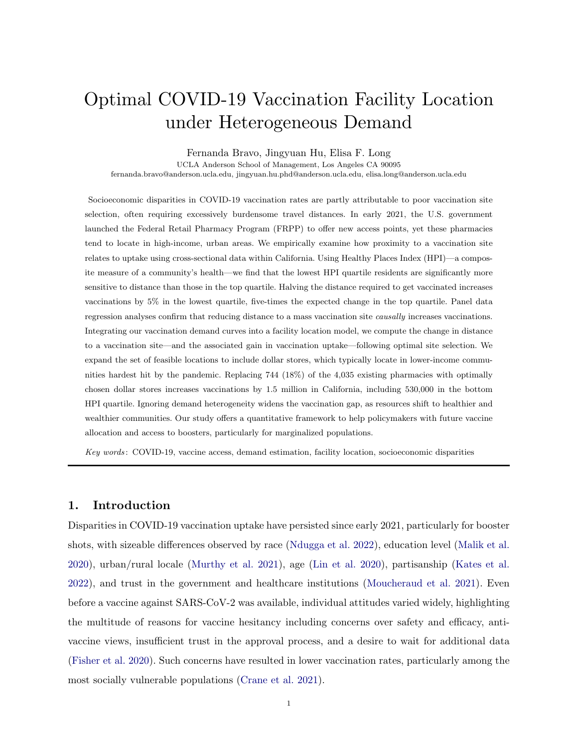# Optimal COVID-19 Vaccination Facility Location under Heterogeneous Demand

Fernanda Bravo, Jingyuan Hu, Elisa F. Long

UCLA Anderson School of Management, Los Angeles CA 90095

fernanda.bravo@anderson.ucla.edu, jingyuan.hu.phd@anderson.ucla.edu, elisa.long@anderson.ucla.edu

Socioeconomic disparities in COVID-19 vaccination rates are partly attributable to poor vaccination site selection, often requiring excessively burdensome travel distances. In early 2021, the U.S. government launched the Federal Retail Pharmacy Program (FRPP) to offer new access points, yet these pharmacies tend to locate in high-income, urban areas. We empirically examine how proximity to a vaccination site relates to uptake using cross-sectional data within California. Using Healthy Places Index (HPI)—a composite measure of a community's health—we find that the lowest HPI quartile residents are significantly more sensitive to distance than those in the top quartile. Halving the distance required to get vaccinated increases vaccinations by 5% in the lowest quartile, five-times the expected change in the top quartile. Panel data regression analyses confirm that reducing distance to a mass vaccination site causally increases vaccinations. Integrating our vaccination demand curves into a facility location model, we compute the change in distance to a vaccination site—and the associated gain in vaccination uptake—following optimal site selection. We expand the set of feasible locations to include dollar stores, which typically locate in lower-income communities hardest hit by the pandemic. Replacing 744 (18%) of the 4,035 existing pharmacies with optimally chosen dollar stores increases vaccinations by 1.5 million in California, including 530,000 in the bottom HPI quartile. Ignoring demand heterogeneity widens the vaccination gap, as resources shift to healthier and wealthier communities. Our study offers a quantitative framework to help policymakers with future vaccine allocation and access to boosters, particularly for marginalized populations.

Key words : COVID-19, vaccine access, demand estimation, facility location, socioeconomic disparities

# 1. Introduction

Disparities in COVID-19 vaccination uptake have persisted since early 2021, particularly for booster shots, with sizeable differences observed by race [\(Ndugga et al.](#page-18-0) [2022\)](#page-18-0), education level [\(Malik et al.](#page-18-1) [2020\)](#page-18-1), urban/rural locale [\(Murthy et al.](#page-18-2) [2021\)](#page-18-2), age [\(Lin et al.](#page-17-0) [2020\)](#page-17-0), partisanship [\(Kates et al.](#page-17-1) [2022\)](#page-17-1), and trust in the government and healthcare institutions [\(Moucheraud et al.](#page-18-3) [2021\)](#page-18-3). Even before a vaccine against SARS-CoV-2 was available, individual attitudes varied widely, highlighting the multitude of reasons for vaccine hesitancy including concerns over safety and efficacy, antivaccine views, insufficient trust in the approval process, and a desire to wait for additional data [\(Fisher et al.](#page-17-2) [2020\)](#page-17-2). Such concerns have resulted in lower vaccination rates, particularly among the most socially vulnerable populations [\(Crane et al.](#page-17-3) [2021\)](#page-17-3).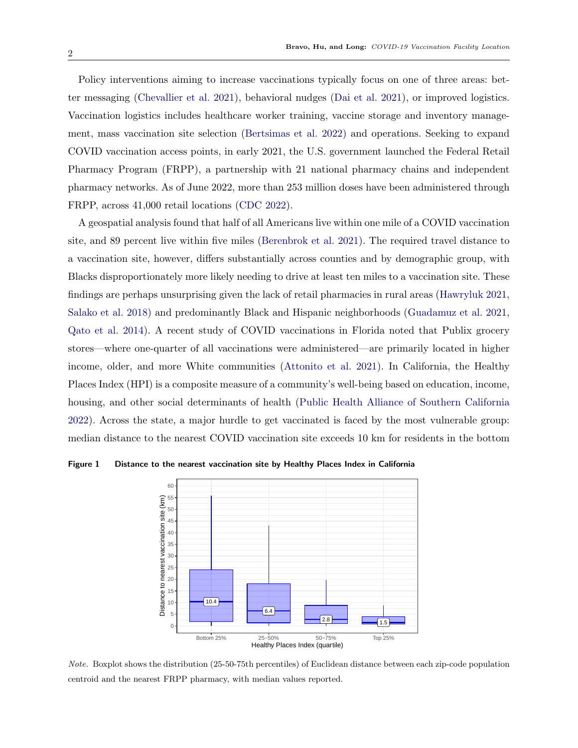Policy interventions aiming to increase vaccinations typically focus on one of three areas: better messaging [\(Chevallier et al.](#page-17-4) [2021\)](#page-17-4), behavioral nudges [\(Dai et al.](#page-17-5) [2021\)](#page-17-5), or improved logistics. Vaccination logistics includes healthcare worker training, vaccine storage and inventory management, mass vaccination site selection [\(Bertsimas et al.](#page-16-0) [2022\)](#page-16-0) and operations. Seeking to expand COVID vaccination access points, in early 2021, the U.S. government launched the Federal Retail Pharmacy Program (FRPP), a partnership with 21 national pharmacy chains and independent pharmacy networks. As of June 2022, more than 253 million doses have been administered through FRPP, across 41,000 retail locations [\(CDC 2022\)](#page-19-0).

A geospatial analysis found that half of all Americans live within one mile of a COVID vaccination site, and 89 percent live within five miles [\(Berenbrok et al.](#page-16-1) [2021\)](#page-16-1). The required travel distance to a vaccination site, however, differs substantially across counties and by demographic group, with Blacks disproportionately more likely needing to drive at least ten miles to a vaccination site. These findings are perhaps unsurprising given the lack of retail pharmacies in rural areas [\(Hawryluk](#page-17-6) [2021,](#page-17-6) [Salako et al.](#page-18-4) [2018\)](#page-18-4) and predominantly Black and Hispanic neighborhoods [\(Guadamuz et al.](#page-17-7) [2021,](#page-17-7) [Qato et al.](#page-18-5) [2014\)](#page-18-5). A recent study of COVID vaccinations in Florida noted that Publix grocery stores—where one-quarter of all vaccinations were administered—are primarily located in higher income, older, and more White communities [\(Attonito et al.](#page-16-2) [2021\)](#page-16-2). In California, the Healthy Places Index (HPI) is a composite measure of a community's well-being based on education, income, housing, and other social determinants of health [\(Public Health Alliance of Southern California](#page-18-6) [2022\)](#page-18-6). Across the state, a major hurdle to get vaccinated is faced by the most vulnerable group: median distance to the nearest COVID vaccination site exceeds 10 km for residents in the bottom

<span id="page-1-0"></span>

Figure 1 Distance to the nearest vaccination site by Healthy Places Index in California

Note. Boxplot shows the distribution (25-50-75th percentiles) of Euclidean distance between each zip-code population centroid and the nearest FRPP pharmacy, with median values reported.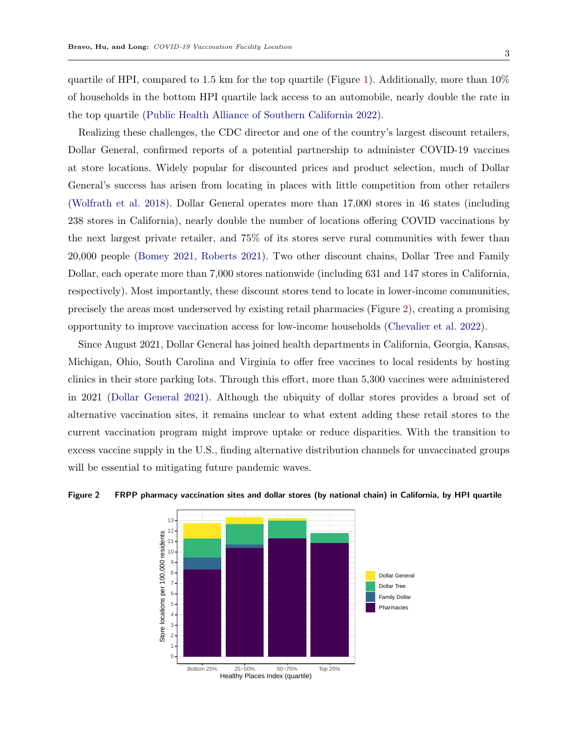quartile of HPI, compared to 1.5 km for the top quartile (Figure [1\)](#page-1-0). Additionally, more than  $10\%$ of households in the bottom HPI quartile lack access to an automobile, nearly double the rate in the top quartile [\(Public Health Alliance of Southern California](#page-18-6) [2022\)](#page-18-6).

Realizing these challenges, the CDC director and one of the country's largest discount retailers, Dollar General, confirmed reports of a potential partnership to administer COVID-19 vaccines at store locations. Widely popular for discounted prices and product selection, much of Dollar General's success has arisen from locating in places with little competition from other retailers [\(Wolfrath et al.](#page-19-1) [2018\)](#page-19-1). Dollar General operates more than 17,000 stores in 46 states (including 238 stores in California), nearly double the number of locations offering COVID vaccinations by the next largest private retailer, and 75% of its stores serve rural communities with fewer than 20,000 people [\(Bomey](#page-16-3) [2021,](#page-16-3) [Roberts](#page-18-7) [2021\)](#page-18-7). Two other discount chains, Dollar Tree and Family Dollar, each operate more than 7,000 stores nationwide (including 631 and 147 stores in California, respectively). Most importantly, these discount stores tend to locate in lower-income communities, precisely the areas most underserved by existing retail pharmacies (Figure [2\)](#page-2-0), creating a promising opportunity to improve vaccination access for low-income households [\(Chevalier et al.](#page-17-8) [2022\)](#page-17-8).

Since August 2021, Dollar General has joined health departments in California, Georgia, Kansas, Michigan, Ohio, South Carolina and Virginia to offer free vaccines to local residents by hosting clinics in their store parking lots. Through this effort, more than 5,300 vaccines were administered in 2021 [\(Dollar General](#page-17-9) [2021\)](#page-17-9). Although the ubiquity of dollar stores provides a broad set of alternative vaccination sites, it remains unclear to what extent adding these retail stores to the current vaccination program might improve uptake or reduce disparities. With the transition to excess vaccine supply in the U.S., finding alternative distribution channels for unvaccinated groups will be essential to mitigating future pandemic waves.

<span id="page-2-0"></span>

#### Figure 2 FRPP pharmacy vaccination sites and dollar stores (by national chain) in California, by HPI quartile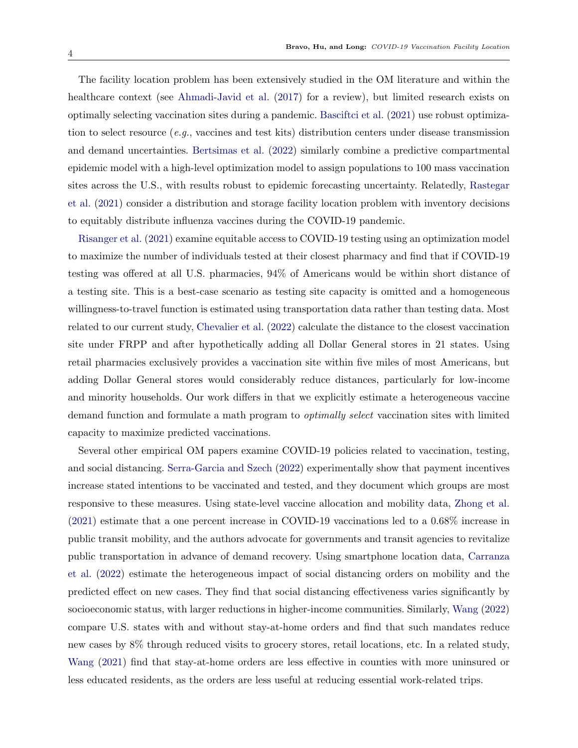The facility location problem has been extensively studied in the OM literature and within the healthcare context (see [Ahmadi-Javid et al.](#page-16-4)  $(2017)$  for a review), but limited research exists on optimally selecting vaccination sites during a pandemic. [Basciftci et al.](#page-16-5) [\(2021\)](#page-16-5) use robust optimization to select resource (e.g., vaccines and test kits) distribution centers under disease transmission and demand uncertainties. [Bertsimas et al.](#page-16-0) [\(2022\)](#page-16-0) similarly combine a predictive compartmental epidemic model with a high-level optimization model to assign populations to 100 mass vaccination sites across the U.S., with results robust to epidemic forecasting uncertainty. Relatedly, [Rastegar](#page-18-8) [et al.](#page-18-8) [\(2021\)](#page-18-8) consider a distribution and storage facility location problem with inventory decisions to equitably distribute influenza vaccines during the COVID-19 pandemic.

[Risanger et al.](#page-18-9) [\(2021\)](#page-18-9) examine equitable access to COVID-19 testing using an optimization model to maximize the number of individuals tested at their closest pharmacy and find that if COVID-19 testing was offered at all U.S. pharmacies, 94% of Americans would be within short distance of a testing site. This is a best-case scenario as testing site capacity is omitted and a homogeneous willingness-to-travel function is estimated using transportation data rather than testing data. Most related to our current study, [Chevalier et al.](#page-17-8) [\(2022\)](#page-17-8) calculate the distance to the closest vaccination site under FRPP and after hypothetically adding all Dollar General stores in 21 states. Using retail pharmacies exclusively provides a vaccination site within five miles of most Americans, but adding Dollar General stores would considerably reduce distances, particularly for low-income and minority households. Our work differs in that we explicitly estimate a heterogeneous vaccine demand function and formulate a math program to optimally select vaccination sites with limited capacity to maximize predicted vaccinations.

Several other empirical OM papers examine COVID-19 policies related to vaccination, testing, and social distancing. [Serra-Garcia and Szech](#page-18-10) [\(2022\)](#page-18-10) experimentally show that payment incentives increase stated intentions to be vaccinated and tested, and they document which groups are most responsive to these measures. Using state-level vaccine allocation and mobility data, [Zhong et al.](#page-19-2) [\(2021\)](#page-19-2) estimate that a one percent increase in COVID-19 vaccinations led to a 0.68% increase in public transit mobility, and the authors advocate for governments and transit agencies to revitalize public transportation in advance of demand recovery. Using smartphone location data, [Carranza](#page-17-10) [et al.](#page-17-10) [\(2022\)](#page-17-10) estimate the heterogeneous impact of social distancing orders on mobility and the predicted effect on new cases. They find that social distancing effectiveness varies significantly by socioeconomic status, with larger reductions in higher-income communities. Similarly, [Wang](#page-19-3) [\(2022\)](#page-19-3) compare U.S. states with and without stay-at-home orders and find that such mandates reduce new cases by 8% through reduced visits to grocery stores, retail locations, etc. In a related study, [Wang](#page-19-4) [\(2021\)](#page-19-4) find that stay-at-home orders are less effective in counties with more uninsured or less educated residents, as the orders are less useful at reducing essential work-related trips.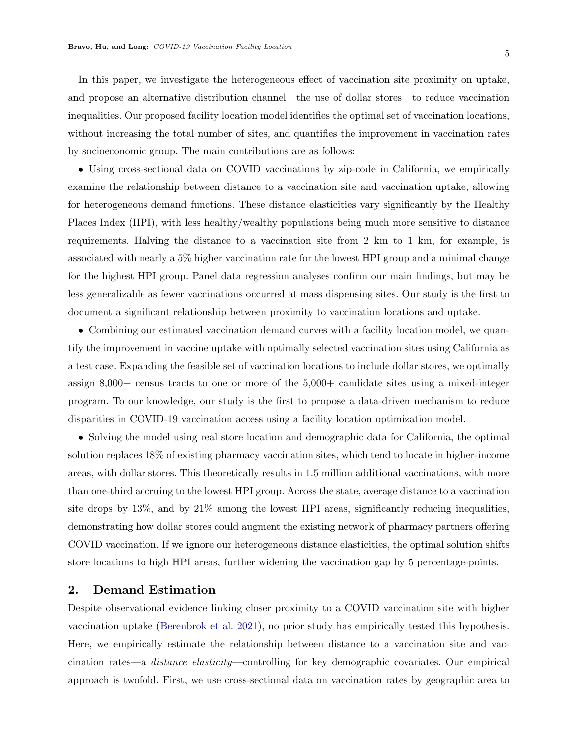In this paper, we investigate the heterogeneous effect of vaccination site proximity on uptake, and propose an alternative distribution channel—the use of dollar stores—to reduce vaccination inequalities. Our proposed facility location model identifies the optimal set of vaccination locations, without increasing the total number of sites, and quantifies the improvement in vaccination rates by socioeconomic group. The main contributions are as follows:

• Using cross-sectional data on COVID vaccinations by zip-code in California, we empirically examine the relationship between distance to a vaccination site and vaccination uptake, allowing for heterogeneous demand functions. These distance elasticities vary significantly by the Healthy Places Index (HPI), with less healthy/wealthy populations being much more sensitive to distance requirements. Halving the distance to a vaccination site from 2 km to 1 km, for example, is associated with nearly a 5% higher vaccination rate for the lowest HPI group and a minimal change for the highest HPI group. Panel data regression analyses confirm our main findings, but may be less generalizable as fewer vaccinations occurred at mass dispensing sites. Our study is the first to document a significant relationship between proximity to vaccination locations and uptake.

• Combining our estimated vaccination demand curves with a facility location model, we quantify the improvement in vaccine uptake with optimally selected vaccination sites using California as a test case. Expanding the feasible set of vaccination locations to include dollar stores, we optimally assign 8,000+ census tracts to one or more of the 5,000+ candidate sites using a mixed-integer program. To our knowledge, our study is the first to propose a data-driven mechanism to reduce disparities in COVID-19 vaccination access using a facility location optimization model.

• Solving the model using real store location and demographic data for California, the optimal solution replaces 18% of existing pharmacy vaccination sites, which tend to locate in higher-income areas, with dollar stores. This theoretically results in 1.5 million additional vaccinations, with more than one-third accruing to the lowest HPI group. Across the state, average distance to a vaccination site drops by 13%, and by 21% among the lowest HPI areas, significantly reducing inequalities, demonstrating how dollar stores could augment the existing network of pharmacy partners offering COVID vaccination. If we ignore our heterogeneous distance elasticities, the optimal solution shifts store locations to high HPI areas, further widening the vaccination gap by 5 percentage-points.

## <span id="page-4-0"></span>2. Demand Estimation

Despite observational evidence linking closer proximity to a COVID vaccination site with higher vaccination uptake [\(Berenbrok et al.](#page-16-1) [2021\)](#page-16-1), no prior study has empirically tested this hypothesis. Here, we empirically estimate the relationship between distance to a vaccination site and vaccination rates—a distance elasticity—controlling for key demographic covariates. Our empirical approach is twofold. First, we use cross-sectional data on vaccination rates by geographic area to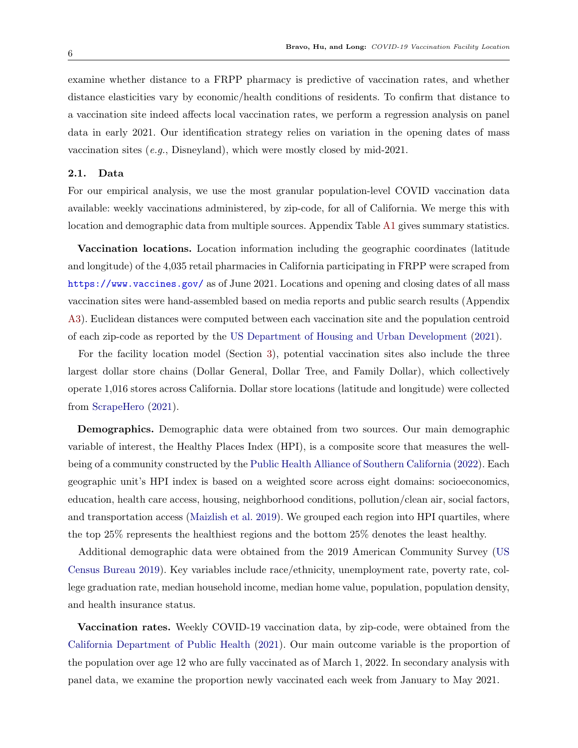examine whether distance to a FRPP pharmacy is predictive of vaccination rates, and whether distance elasticities vary by economic/health conditions of residents. To confirm that distance to a vaccination site indeed affects local vaccination rates, we perform a regression analysis on panel data in early 2021. Our identification strategy relies on variation in the opening dates of mass vaccination sites (e.g., Disneyland), which were mostly closed by mid-2021.

#### 2.1. Data

For our empirical analysis, we use the most granular population-level COVID vaccination data available: weekly vaccinations administered, by zip-code, for all of California. We merge this with location and demographic data from multiple sources. Appendix Table [A1](#page-7-0) gives summary statistics.

Vaccination locations. Location information including the geographic coordinates (latitude and longitude) of the 4,035 retail pharmacies in California participating in FRPP were scraped from <https://www.vaccines.gov/> as of June 2021. Locations and opening and closing dates of all mass vaccination sites were hand-assembled based on media reports and public search results (Appendix [A3\)](#page-22-0). Euclidean distances were computed between each vaccination site and the population centroid of each zip-code as reported by the [US Department of Housing and Urban Development](#page-19-5) [\(2021\)](#page-19-5).

For the facility location model (Section [3\)](#page-10-0), potential vaccination sites also include the three largest dollar store chains (Dollar General, Dollar Tree, and Family Dollar), which collectively operate 1,016 stores across California. Dollar store locations (latitude and longitude) were collected from [ScrapeHero](#page-18-11) [\(2021\)](#page-18-11).

Demographics. Demographic data were obtained from two sources. Our main demographic variable of interest, the Healthy Places Index (HPI), is a composite score that measures the wellbeing of a community constructed by the [Public Health Alliance of Southern California](#page-18-6) [\(2022\)](#page-18-6). Each geographic unit's HPI index is based on a weighted score across eight domains: socioeconomics, education, health care access, housing, neighborhood conditions, pollution/clean air, social factors, and transportation access [\(Maizlish et al.](#page-18-12) [2019\)](#page-18-12). We grouped each region into HPI quartiles, where the top 25% represents the healthiest regions and the bottom 25% denotes the least healthy.

Additional demographic data were obtained from the 2019 American Community Survey [\(US](#page-18-13) [Census Bureau](#page-18-13) [2019\)](#page-18-13). Key variables include race/ethnicity, unemployment rate, poverty rate, college graduation rate, median household income, median home value, population, population density, and health insurance status.

Vaccination rates. Weekly COVID-19 vaccination data, by zip-code, were obtained from the [California Department of Public Health](#page-17-11) [\(2021\)](#page-17-11). Our main outcome variable is the proportion of the population over age 12 who are fully vaccinated as of March 1, 2022. In secondary analysis with panel data, we examine the proportion newly vaccinated each week from January to May 2021.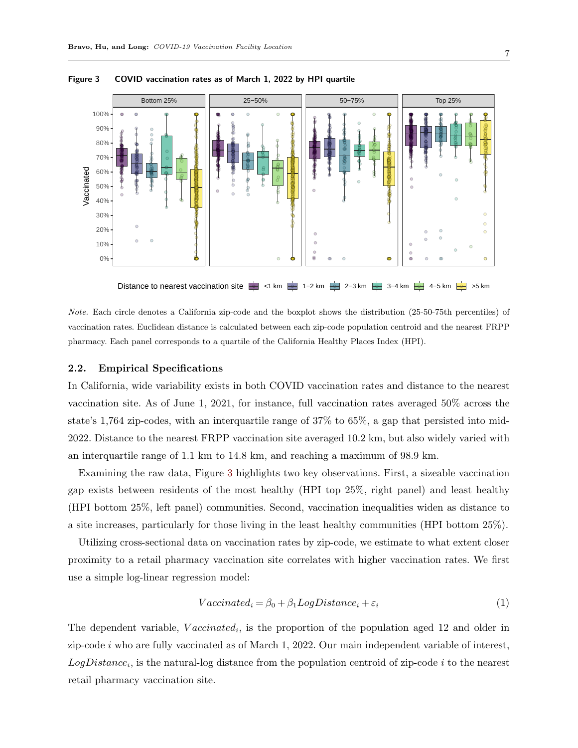<span id="page-6-0"></span>

Figure 3 COVID vaccination rates as of March 1, 2022 by HPI quartile

Note. Each circle denotes a California zip-code and the boxplot shows the distribution (25-50-75th percentiles) of vaccination rates. Euclidean distance is calculated between each zip-code population centroid and the nearest FRPP pharmacy. Each panel corresponds to a quartile of the California Healthy Places Index (HPI).

#### 2.2. Empirical Specifications

In California, wide variability exists in both COVID vaccination rates and distance to the nearest vaccination site. As of June 1, 2021, for instance, full vaccination rates averaged 50% across the state's 1,764 zip-codes, with an interquartile range of 37% to 65%, a gap that persisted into mid-2022. Distance to the nearest FRPP vaccination site averaged 10.2 km, but also widely varied with an interquartile range of 1.1 km to 14.8 km, and reaching a maximum of 98.9 km.

Examining the raw data, Figure [3](#page-6-0) highlights two key observations. First, a sizeable vaccination gap exists between residents of the most healthy (HPI top 25%, right panel) and least healthy (HPI bottom 25%, left panel) communities. Second, vaccination inequalities widen as distance to a site increases, particularly for those living in the least healthy communities (HPI bottom 25%).

Utilizing cross-sectional data on vaccination rates by zip-code, we estimate to what extent closer proximity to a retail pharmacy vaccination site correlates with higher vaccination rates. We first use a simple log-linear regression model:

$$
Vaccinated_i = \beta_0 + \beta_1 LogDistance_i + \varepsilon_i \tag{1}
$$

The dependent variable,  $Vaccinated_i$ , is the proportion of the population aged 12 and older in zip-code i who are fully vaccinated as of March 1, 2022. Our main independent variable of interest,  $LogDistance_i$ , is the natural-log distance from the population centroid of zip-code i to the nearest retail pharmacy vaccination site.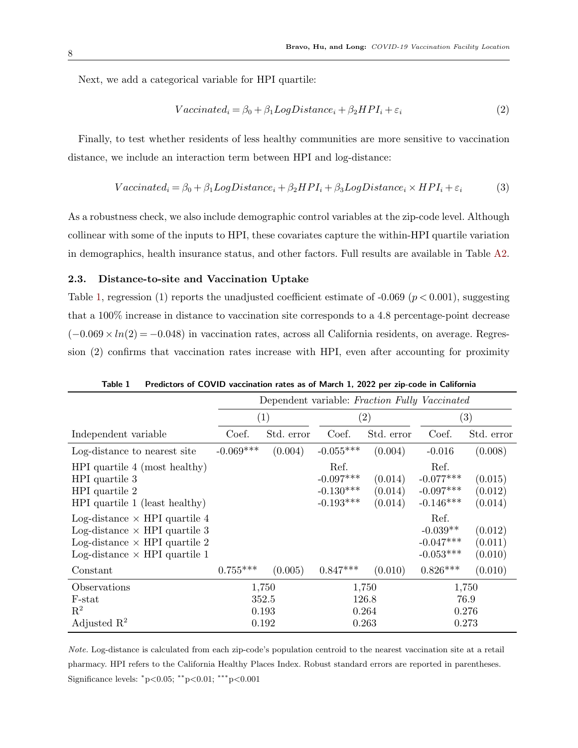Next, we add a categorical variable for HPI quartile:

$$
Vaccinated_i = \beta_0 + \beta_1 LogDistance_i + \beta_2 HPI_i + \varepsilon_i \tag{2}
$$

Finally, to test whether residents of less healthy communities are more sensitive to vaccination distance, we include an interaction term between HPI and log-distance:

$$
Vaccinated_i = \beta_0 + \beta_1 LogDistance_i + \beta_2 HPI_i + \beta_3 LogDistance_i \times HPI_i + \varepsilon_i
$$
 (3)

As a robustness check, we also include demographic control variables at the zip-code level. Although collinear with some of the inputs to HPI, these covariates capture the within-HPI quartile variation in demographics, health insurance status, and other factors. Full results are available in Table [A2.](#page-11-0)

### 2.3. Distance-to-site and Vaccination Uptake

Table [1,](#page-7-0) regression (1) reports the unadjusted coefficient estimate of -0.069 ( $p < 0.001$ ), suggesting that a 100% increase in distance to vaccination site corresponds to a 4.8 percentage-point decrease  $(-0.069 \times ln(2) = -0.048)$  in vaccination rates, across all California residents, on average. Regression (2) confirms that vaccination rates increase with HPI, even after accounting for proximity

|                                                                                                                                                              | Dependent variable: Fraction Fully Vaccinated |                   |                                                   |                               |                                                   |                               |  |  |
|--------------------------------------------------------------------------------------------------------------------------------------------------------------|-----------------------------------------------|-------------------|---------------------------------------------------|-------------------------------|---------------------------------------------------|-------------------------------|--|--|
|                                                                                                                                                              |                                               | $\left( 1\right)$ |                                                   | $\left( 2\right)$             |                                                   | $\left( 3\right)$             |  |  |
| Independent variable                                                                                                                                         | Coef.                                         | Std. error        | Coef.                                             | Std. error                    | Coef.                                             | Std. error                    |  |  |
| Log-distance to nearest site                                                                                                                                 | $-0.069***$                                   | (0.004)           | $-0.055***$                                       | (0.004)                       | $-0.016$                                          | (0.008)                       |  |  |
| HPI quartile 4 (most healthy)<br>HPI quartile 3<br>HPI quartile 2<br>HPI quartile 1 (least healthy)                                                          |                                               |                   | Ref.<br>$-0.097***$<br>$-0.130***$<br>$-0.193***$ | (0.014)<br>(0.014)<br>(0.014) | Ref.<br>$-0.077***$<br>$-0.097***$<br>$-0.146***$ | (0.015)<br>(0.012)<br>(0.014) |  |  |
| Log-distance $\times$ HPI quartile 4<br>Log-distance $\times$ HPI quartile 3<br>Log-distance $\times$ HPI quartile 2<br>Log-distance $\times$ HPI quartile 1 |                                               |                   |                                                   |                               | Ref.<br>$-0.039**$<br>$-0.047***$<br>$-0.053***$  | (0.012)<br>(0.011)<br>(0.010) |  |  |
| Constant                                                                                                                                                     | $0.755***$                                    | (0.005)           | $0.847***$                                        | (0.010)                       | $0.826***$                                        | (0.010)                       |  |  |
| Observations<br>F-stat<br>$\mathbf{R}^2$<br>Adjusted $\mathbb{R}^2$                                                                                          | 1,750<br>352.5<br>0.193<br>0.192              |                   | 1,750<br>126.8<br>0.264<br>0.263                  |                               | 1,750<br>76.9<br>0.276<br>0.273                   |                               |  |  |

<span id="page-7-0"></span>Table 1 Predictors of COVID vaccination rates as of March 1, 2022 per zip-code in California

Note. Log-distance is calculated from each zip-code's population centroid to the nearest vaccination site at a retail pharmacy. HPI refers to the California Healthy Places Index. Robust standard errors are reported in parentheses. Significance levels:  $*p<0.05$ ;  $*p<0.01$ ;  $**p<0.001$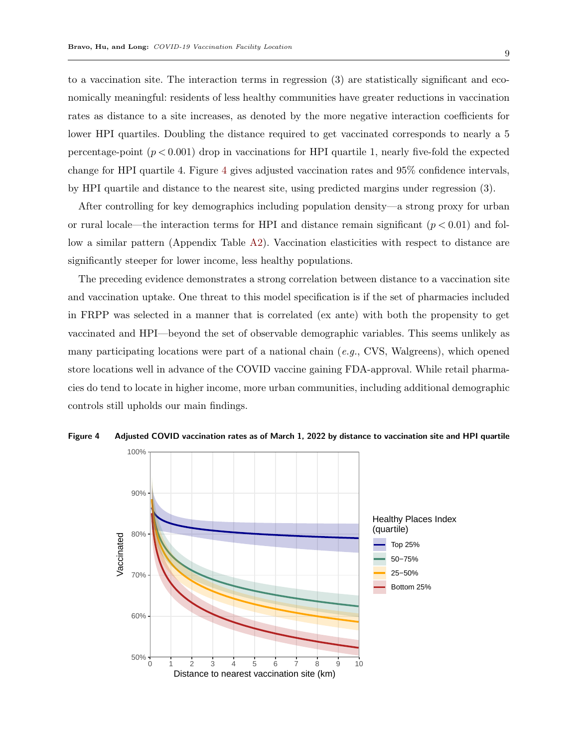to a vaccination site. The interaction terms in regression (3) are statistically significant and economically meaningful: residents of less healthy communities have greater reductions in vaccination rates as distance to a site increases, as denoted by the more negative interaction coefficients for lower HPI quartiles. Doubling the distance required to get vaccinated corresponds to nearly a 5 percentage-point  $(p < 0.001)$  drop in vaccinations for HPI quartile 1, nearly five-fold the expected change for HPI quartile 4. Figure [4](#page-8-0) gives adjusted vaccination rates and 95% confidence intervals, by HPI quartile and distance to the nearest site, using predicted margins under regression (3).

After controlling for key demographics including population density—a strong proxy for urban or rural locale—the interaction terms for HPI and distance remain significant  $(p < 0.01)$  and follow a similar pattern (Appendix Table [A2\)](#page-11-0). Vaccination elasticities with respect to distance are significantly steeper for lower income, less healthy populations.

The preceding evidence demonstrates a strong correlation between distance to a vaccination site and vaccination uptake. One threat to this model specification is if the set of pharmacies included in FRPP was selected in a manner that is correlated (ex ante) with both the propensity to get vaccinated and HPI—beyond the set of observable demographic variables. This seems unlikely as many participating locations were part of a national chain  $(e.g.,\text{CVS},\text{Walgreens})$ , which opened store locations well in advance of the COVID vaccine gaining FDA-approval. While retail pharmacies do tend to locate in higher income, more urban communities, including additional demographic controls still upholds our main findings.

<span id="page-8-0"></span>

Figure 4 Adjusted COVID vaccination rates as of March 1, 2022 by distance to vaccination site and HPI quartile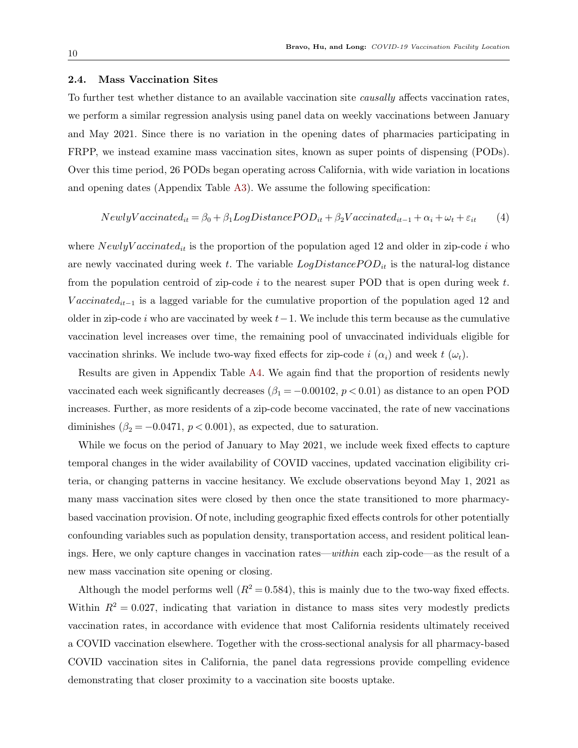#### 2.4. Mass Vaccination Sites

To further test whether distance to an available vaccination site causally affects vaccination rates, we perform a similar regression analysis using panel data on weekly vaccinations between January and May 2021. Since there is no variation in the opening dates of pharmacies participating in FRPP, we instead examine mass vaccination sites, known as super points of dispensing (PODs). Over this time period, 26 PODs began operating across California, with wide variation in locations and opening dates (Appendix Table [A3\)](#page-22-0). We assume the following specification:

$$
NewlyVacinated_{it} = \beta_0 + \beta_1 LogDistancePOD_{it} + \beta_2 Vaccinated_{it-1} + \alpha_i + \omega_t + \varepsilon_{it} \tag{4}
$$

where  $NewlyVacinated_{it}$  is the proportion of the population aged 12 and older in zip-code i who are newly vaccinated during week t. The variable  $LogDistancePOD_{it}$  is the natural-log distance from the population centroid of zip-code  $i$  to the nearest super POD that is open during week  $t$ . Vaccinated<sub>it−1</sub> is a lagged variable for the cumulative proportion of the population aged 12 and older in zip-code i who are vaccinated by week  $t-1$ . We include this term because as the cumulative vaccination level increases over time, the remaining pool of unvaccinated individuals eligible for vaccination shrinks. We include two-way fixed effects for zip-code i  $(\alpha_i)$  and week  $t(\omega_t)$ .

Results are given in Appendix Table [A4.](#page-22-1) We again find that the proportion of residents newly vaccinated each week significantly decreases ( $\beta_1 = -0.00102$ ,  $p < 0.01$ ) as distance to an open POD increases. Further, as more residents of a zip-code become vaccinated, the rate of new vaccinations diminishes  $(\beta_2 = -0.0471, p < 0.001)$ , as expected, due to saturation.

While we focus on the period of January to May 2021, we include week fixed effects to capture temporal changes in the wider availability of COVID vaccines, updated vaccination eligibility criteria, or changing patterns in vaccine hesitancy. We exclude observations beyond May 1, 2021 as many mass vaccination sites were closed by then once the state transitioned to more pharmacybased vaccination provision. Of note, including geographic fixed effects controls for other potentially confounding variables such as population density, transportation access, and resident political leanings. Here, we only capture changes in vaccination rates—within each zip-code—as the result of a new mass vaccination site opening or closing.

Although the model performs well  $(R^2 = 0.584)$ , this is mainly due to the two-way fixed effects. Within  $R^2 = 0.027$ , indicating that variation in distance to mass sites very modestly predicts vaccination rates, in accordance with evidence that most California residents ultimately received a COVID vaccination elsewhere. Together with the cross-sectional analysis for all pharmacy-based COVID vaccination sites in California, the panel data regressions provide compelling evidence demonstrating that closer proximity to a vaccination site boosts uptake.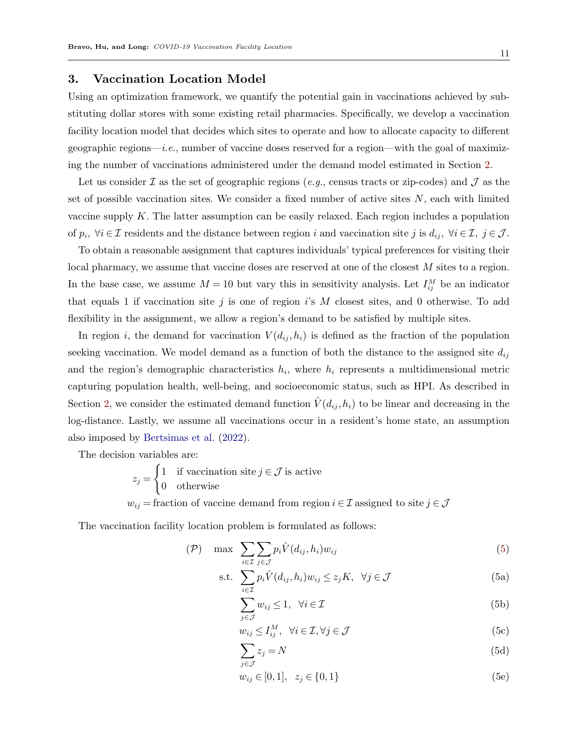## <span id="page-10-0"></span>3. Vaccination Location Model

Using an optimization framework, we quantify the potential gain in vaccinations achieved by substituting dollar stores with some existing retail pharmacies. Specifically, we develop a vaccination facility location model that decides which sites to operate and how to allocate capacity to different geographic regions—i.e., number of vaccine doses reserved for a region—with the goal of maximizing the number of vaccinations administered under the demand model estimated in Section [2.](#page-4-0)

Let us consider  $\mathcal I$  as the set of geographic regions (e.g., census tracts or zip-codes) and  $\mathcal J$  as the set of possible vaccination sites. We consider a fixed number of active sites  $N$ , each with limited vaccine supply  $K$ . The latter assumption can be easily relaxed. Each region includes a population of  $p_i$ ,  $\forall i \in \mathcal{I}$  residents and the distance between region i and vaccination site j is  $d_{ij}$ ,  $\forall i \in \mathcal{I}$ ,  $j \in \mathcal{J}$ .

To obtain a reasonable assignment that captures individuals' typical preferences for visiting their local pharmacy, we assume that vaccine doses are reserved at one of the closest M sites to a region. In the base case, we assume  $M = 10$  but vary this in sensitivity analysis. Let  $I_{ij}^M$  be an indicator that equals 1 if vaccination site j is one of region is M closest sites, and 0 otherwise. To add flexibility in the assignment, we allow a region's demand to be satisfied by multiple sites.

In region i, the demand for vaccination  $V(d_{ij}, h_i)$  is defined as the fraction of the population seeking vaccination. We model demand as a function of both the distance to the assigned site  $d_{ij}$ and the region's demographic characteristics  $h_i$ , where  $h_i$  represents a multidimensional metric capturing population health, well-being, and socioeconomic status, such as HPI. As described in Section [2,](#page-4-0) we consider the estimated demand function  $V(d_{ij}, h_i)$  to be linear and decreasing in the log-distance. Lastly, we assume all vaccinations occur in a resident's home state, an assumption also imposed by [Bertsimas et al.](#page-16-0) [\(2022\)](#page-16-0).

The decision variables are:

$$
z_j = \begin{cases} 1 & \text{if vaccination site } j \in \mathcal{J} \text{ is active} \\ 0 & \text{otherwise} \end{cases}
$$
\n
$$
w_{ij} = \text{fraction of vaccine demand from region } i \in \mathcal{I} \text{ assigned to site } j \in \mathcal{J}
$$

The vaccination facility location problem is formulated as follows:

$$
\sum_{i \in \mathcal{I}} \sum_{j \in \mathcal{J}} p_i \hat{V}(d_{ij}, h_i) w_{ij} \tag{5}
$$

s.t. 
$$
\sum_{i \in \mathcal{I}} p_i \hat{V}(d_{ij}, h_i) w_{ij} \le z_j K, \ \ \forall j \in \mathcal{J}
$$
 (5a)

<span id="page-10-4"></span><span id="page-10-3"></span><span id="page-10-2"></span><span id="page-10-1"></span>
$$
\sum_{j \in \mathcal{J}} w_{ij} \le 1, \ \ \forall i \in \mathcal{I} \tag{5b}
$$

$$
w_{ij} \le I_{ij}^M, \quad \forall i \in \mathcal{I}, \forall j \in \mathcal{J}
$$
\n
$$
(5c)
$$

<span id="page-10-5"></span>
$$
\sum_{j \in \mathcal{J}} z_j = N \tag{5d}
$$

$$
w_{ij} \in [0, 1], \ z_j \in \{0, 1\} \tag{5e}
$$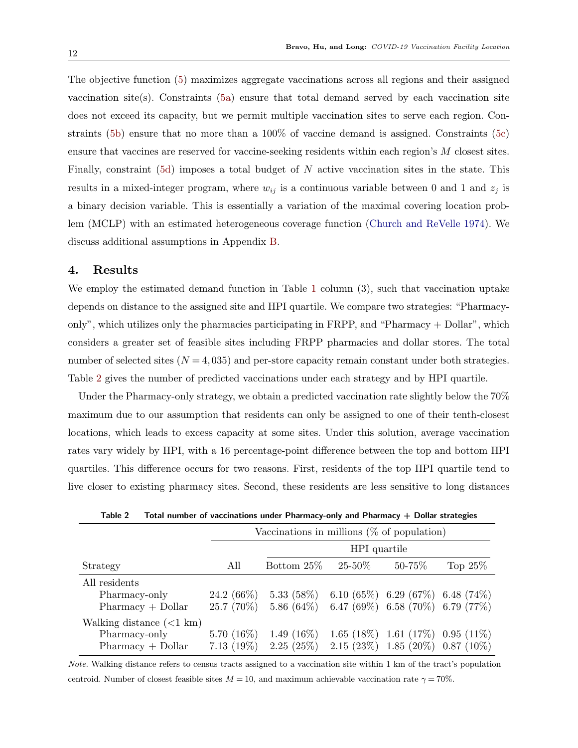The objective function [\(5\)](#page-10-1) maximizes aggregate vaccinations across all regions and their assigned vaccination site(s). Constraints  $(5a)$  ensure that total demand served by each vaccination site does not exceed its capacity, but we permit multiple vaccination sites to serve each region. Constraints [\(5b\)](#page-10-3) ensure that no more than a 100% of vaccine demand is assigned. Constraints [\(5c\)](#page-10-4) ensure that vaccines are reserved for vaccine-seeking residents within each region's M closest sites. Finally, constraint [\(5d\)](#page-10-5) imposes a total budget of N active vaccination sites in the state. This results in a mixed-integer program, where  $w_{ij}$  is a continuous variable between 0 and 1 and  $z_j$  is a binary decision variable. This is essentially a variation of the maximal covering location problem (MCLP) with an estimated heterogeneous coverage function [\(Church and ReVelle](#page-17-12) [1974\)](#page-17-12). We discuss additional assumptions in Appendix [B.](#page-4-0)

## <span id="page-11-1"></span>4. Results

We employ the estimated demand function in Table [1](#page-7-0) column (3), such that vaccination uptake depends on distance to the assigned site and HPI quartile. We compare two strategies: "Pharmacyonly", which utilizes only the pharmacies participating in FRPP, and "Pharmacy + Dollar", which considers a greater set of feasible sites including FRPP pharmacies and dollar stores. The total number of selected sites  $(N = 4, 035)$  and per-store capacity remain constant under both strategies. Table [2](#page-11-0) gives the number of predicted vaccinations under each strategy and by HPI quartile.

Under the Pharmacy-only strategy, we obtain a predicted vaccination rate slightly below the 70% maximum due to our assumption that residents can only be assigned to one of their tenth-closest locations, which leads to excess capacity at some sites. Under this solution, average vaccination rates vary widely by HPI, with a 16 percentage-point difference between the top and bottom HPI quartiles. This difference occurs for two reasons. First, residents of the top HPI quartile tend to live closer to existing pharmacy sites. Second, these residents are less sensitive to long distances

|                                                                             |                                | Vaccinations in millions ( $\%$ of population) |                                  |                                                                                  |            |  |  |  |  |
|-----------------------------------------------------------------------------|--------------------------------|------------------------------------------------|----------------------------------|----------------------------------------------------------------------------------|------------|--|--|--|--|
|                                                                             |                                | HPI quartile                                   |                                  |                                                                                  |            |  |  |  |  |
| Strategy                                                                    | All                            | Bottom $25\%$                                  | $25 - 50\%$                      | $50 - 75\%$                                                                      | Top $25\%$ |  |  |  |  |
| All residents<br>Pharmacy-only<br>$Pharmacy + Dollar$                       | 24.2 $(66\%)$<br>$25.7(70\%)$  | 5.33(58%)<br>$5.86(64\%)$                      | 6.47 (69%) 6.58 (70%) 6.79 (77%) | 6.10 (65\%) 6.29 (67\%) 6.48 (74\%)                                              |            |  |  |  |  |
| Walking distance $(< 1 \text{ km})$<br>Pharmacy-only<br>$Pharmacy + Dollar$ | 5.70 $(16\%)$<br>7.13 $(19\%)$ | 1.49 $(16\%)$<br>2.25(25%)                     |                                  | $1.65(18\%)$ 1.61 $(17\%)$ 0.95 $(11\%)$<br>$2.15(23\%)$ 1.85 (20\%) 0.87 (10\%) |            |  |  |  |  |

<span id="page-11-0"></span>Table 2 Total number of vaccinations under Pharmacy-only and Pharmacy + Dollar strategies

Note. Walking distance refers to census tracts assigned to a vaccination site within 1 km of the tract's population centroid. Number of closest feasible sites  $M = 10$ , and maximum achievable vaccination rate  $\gamma = 70\%$ .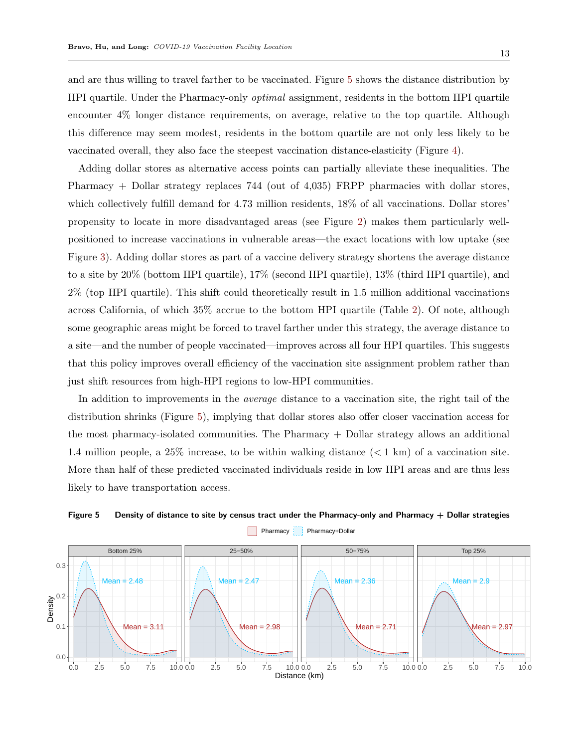and are thus willing to travel farther to be vaccinated. Figure [5](#page-12-0) shows the distance distribution by HPI quartile. Under the Pharmacy-only optimal assignment, residents in the bottom HPI quartile encounter 4% longer distance requirements, on average, relative to the top quartile. Although this difference may seem modest, residents in the bottom quartile are not only less likely to be vaccinated overall, they also face the steepest vaccination distance-elasticity (Figure [4\)](#page-8-0).

Adding dollar stores as alternative access points can partially alleviate these inequalities. The Pharmacy + Dollar strategy replaces 744 (out of 4,035) FRPP pharmacies with dollar stores, which collectively fulfill demand for 4.73 million residents, 18% of all vaccinations. Dollar stores' propensity to locate in more disadvantaged areas (see Figure [2\)](#page-2-0) makes them particularly wellpositioned to increase vaccinations in vulnerable areas—the exact locations with low uptake (see Figure [3\)](#page-6-0). Adding dollar stores as part of a vaccine delivery strategy shortens the average distance to a site by 20% (bottom HPI quartile), 17% (second HPI quartile), 13% (third HPI quartile), and 2% (top HPI quartile). This shift could theoretically result in 1.5 million additional vaccinations across California, of which 35% accrue to the bottom HPI quartile (Table [2\)](#page-11-0). Of note, although some geographic areas might be forced to travel farther under this strategy, the average distance to a site—and the number of people vaccinated—improves across all four HPI quartiles. This suggests that this policy improves overall efficiency of the vaccination site assignment problem rather than just shift resources from high-HPI regions to low-HPI communities.

In addition to improvements in the *average* distance to a vaccination site, the right tail of the distribution shrinks (Figure [5\)](#page-12-0), implying that dollar stores also offer closer vaccination access for the most pharmacy-isolated communities. The Pharmacy + Dollar strategy allows an additional 1.4 million people, a 25% increase, to be within walking distance (< 1 km) of a vaccination site. More than half of these predicted vaccinated individuals reside in low HPI areas and are thus less likely to have transportation access.



<span id="page-12-0"></span>Figure 5 Density of distance to site by census tract under the Pharmacy-only and Pharmacy + Dollar strategies Pharmacy Pharmacy+Dollar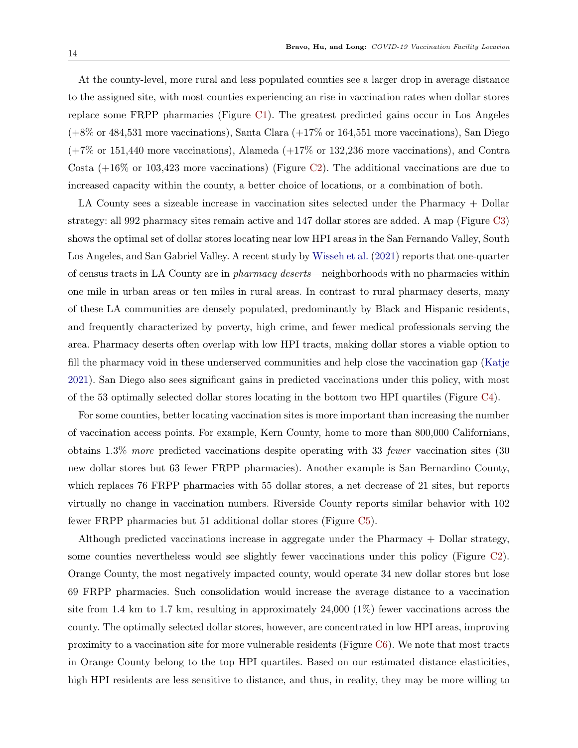At the county-level, more rural and less populated counties see a larger drop in average distance to the assigned site, with most counties experiencing an rise in vaccination rates when dollar stores replace some FRPP pharmacies (Figure [C1\)](#page-1-0). The greatest predicted gains occur in Los Angeles (+8% or 484,531 more vaccinations), Santa Clara (+17% or 164,551 more vaccinations), San Diego (+7% or 151,440 more vaccinations), Alameda (+17% or 132,236 more vaccinations), and Contra Costa  $(+16\%$  or 103,423 more vaccinations) (Figure [C2\)](#page-2-0). The additional vaccinations are due to increased capacity within the county, a better choice of locations, or a combination of both.

LA County sees a sizeable increase in vaccination sites selected under the Pharmacy + Dollar strategy: all 992 pharmacy sites remain active and 147 dollar stores are added. A map (Figure [C3\)](#page-6-0) shows the optimal set of dollar stores locating near low HPI areas in the San Fernando Valley, South Los Angeles, and San Gabriel Valley. A recent study by [Wisseh et al.](#page-19-6) [\(2021\)](#page-19-6) reports that one-quarter of census tracts in LA County are in pharmacy deserts—neighborhoods with no pharmacies within one mile in urban areas or ten miles in rural areas. In contrast to rural pharmacy deserts, many of these LA communities are densely populated, predominantly by Black and Hispanic residents, and frequently characterized by poverty, high crime, and fewer medical professionals serving the area. Pharmacy deserts often overlap with low HPI tracts, making dollar stores a viable option to fill the pharmacy void in these underserved communities and help close the vaccination gap [\(Katje](#page-17-13) [2021\)](#page-17-13). San Diego also sees significant gains in predicted vaccinations under this policy, with most of the 53 optimally selected dollar stores locating in the bottom two HPI quartiles (Figure [C4\)](#page-8-0).

For some counties, better locating vaccination sites is more important than increasing the number of vaccination access points. For example, Kern County, home to more than 800,000 Californians, obtains 1.3% more predicted vaccinations despite operating with 33 fewer vaccination sites  $(30$ new dollar stores but 63 fewer FRPP pharmacies). Another example is San Bernardino County, which replaces 76 FRPP pharmacies with 55 dollar stores, a net decrease of 21 sites, but reports virtually no change in vaccination numbers. Riverside County reports similar behavior with 102 fewer FRPP pharmacies but 51 additional dollar stores (Figure [C5\)](#page-12-0).

Although predicted vaccinations increase in aggregate under the Pharmacy + Dollar strategy, some counties nevertheless would see slightly fewer vaccinations under this policy (Figure [C2\)](#page-2-0). Orange County, the most negatively impacted county, would operate 34 new dollar stores but lose 69 FRPP pharmacies. Such consolidation would increase the average distance to a vaccination site from 1.4 km to 1.7 km, resulting in approximately 24,000 (1%) fewer vaccinations across the county. The optimally selected dollar stores, however, are concentrated in low HPI areas, improving proximity to a vaccination site for more vulnerable residents (Figure [C6\)](#page-27-0). We note that most tracts in Orange County belong to the top HPI quartiles. Based on our estimated distance elasticities, high HPI residents are less sensitive to distance, and thus, in reality, they may be more willing to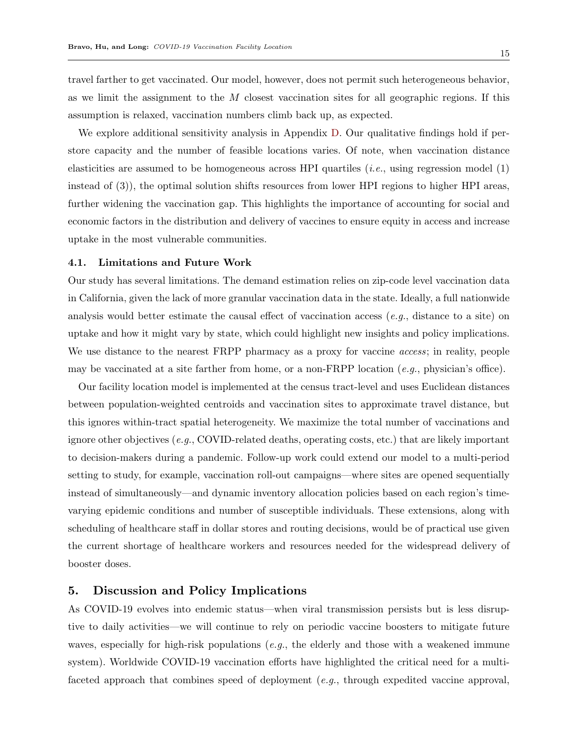travel farther to get vaccinated. Our model, however, does not permit such heterogeneous behavior, as we limit the assignment to the M closest vaccination sites for all geographic regions. If this assumption is relaxed, vaccination numbers climb back up, as expected.

We explore additional sensitivity analysis in Appendix [D.](#page-11-1) Our qualitative findings hold if perstore capacity and the number of feasible locations varies. Of note, when vaccination distance elasticities are assumed to be homogeneous across HPI quartiles (*i.e.*, using regression model  $(1)$ ) instead of (3)), the optimal solution shifts resources from lower HPI regions to higher HPI areas, further widening the vaccination gap. This highlights the importance of accounting for social and economic factors in the distribution and delivery of vaccines to ensure equity in access and increase uptake in the most vulnerable communities.

#### 4.1. Limitations and Future Work

Our study has several limitations. The demand estimation relies on zip-code level vaccination data in California, given the lack of more granular vaccination data in the state. Ideally, a full nationwide analysis would better estimate the causal effect of vaccination access  $(e.g.,$  distance to a site) on uptake and how it might vary by state, which could highlight new insights and policy implications. We use distance to the nearest FRPP pharmacy as a proxy for vaccine *access*; in reality, people may be vaccinated at a site farther from home, or a non-FRPP location (e.g., physician's office).

Our facility location model is implemented at the census tract-level and uses Euclidean distances between population-weighted centroids and vaccination sites to approximate travel distance, but this ignores within-tract spatial heterogeneity. We maximize the total number of vaccinations and ignore other objectives (e.g., COVID-related deaths, operating costs, etc.) that are likely important to decision-makers during a pandemic. Follow-up work could extend our model to a multi-period setting to study, for example, vaccination roll-out campaigns—where sites are opened sequentially instead of simultaneously—and dynamic inventory allocation policies based on each region's timevarying epidemic conditions and number of susceptible individuals. These extensions, along with scheduling of healthcare staff in dollar stores and routing decisions, would be of practical use given the current shortage of healthcare workers and resources needed for the widespread delivery of booster doses.

## 5. Discussion and Policy Implications

As COVID-19 evolves into endemic status—when viral transmission persists but is less disruptive to daily activities—we will continue to rely on periodic vaccine boosters to mitigate future waves, especially for high-risk populations (*e.g.*, the elderly and those with a weakened immune system). Worldwide COVID-19 vaccination efforts have highlighted the critical need for a multifaceted approach that combines speed of deployment (e.g., through expedited vaccine approval,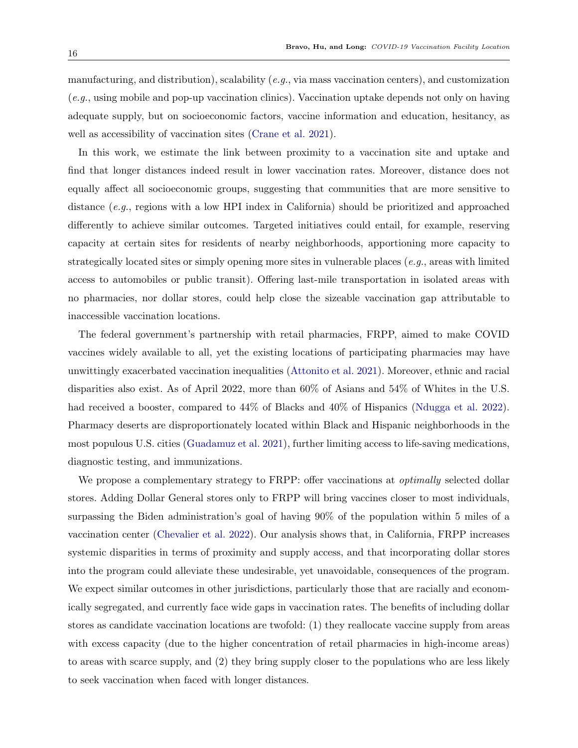manufacturing, and distribution), scalability  $(e.g., via$  mass vaccination centers), and customization (e.g., using mobile and pop-up vaccination clinics). Vaccination uptake depends not only on having adequate supply, but on socioeconomic factors, vaccine information and education, hesitancy, as well as accessibility of vaccination sites [\(Crane et al.](#page-17-3) [2021\)](#page-17-3).

In this work, we estimate the link between proximity to a vaccination site and uptake and find that longer distances indeed result in lower vaccination rates. Moreover, distance does not equally affect all socioeconomic groups, suggesting that communities that are more sensitive to distance (e.g., regions with a low HPI index in California) should be prioritized and approached differently to achieve similar outcomes. Targeted initiatives could entail, for example, reserving capacity at certain sites for residents of nearby neighborhoods, apportioning more capacity to strategically located sites or simply opening more sites in vulnerable places ( $e.g.,$  areas with limited access to automobiles or public transit). Offering last-mile transportation in isolated areas with no pharmacies, nor dollar stores, could help close the sizeable vaccination gap attributable to inaccessible vaccination locations.

The federal government's partnership with retail pharmacies, FRPP, aimed to make COVID vaccines widely available to all, yet the existing locations of participating pharmacies may have unwittingly exacerbated vaccination inequalities [\(Attonito et al.](#page-16-2) [2021\)](#page-16-2). Moreover, ethnic and racial disparities also exist. As of April 2022, more than 60% of Asians and 54% of Whites in the U.S. had received a booster, compared to  $44\%$  of Blacks and  $40\%$  of Hispanics [\(Ndugga et al.](#page-18-0) [2022\)](#page-18-0). Pharmacy deserts are disproportionately located within Black and Hispanic neighborhoods in the most populous U.S. cities [\(Guadamuz et al.](#page-17-7) [2021\)](#page-17-7), further limiting access to life-saving medications, diagnostic testing, and immunizations.

We propose a complementary strategy to FRPP: offer vaccinations at *optimally* selected dollar stores. Adding Dollar General stores only to FRPP will bring vaccines closer to most individuals, surpassing the Biden administration's goal of having 90% of the population within 5 miles of a vaccination center [\(Chevalier et al.](#page-17-8) [2022\)](#page-17-8). Our analysis shows that, in California, FRPP increases systemic disparities in terms of proximity and supply access, and that incorporating dollar stores into the program could alleviate these undesirable, yet unavoidable, consequences of the program. We expect similar outcomes in other jurisdictions, particularly those that are racially and economically segregated, and currently face wide gaps in vaccination rates. The benefits of including dollar stores as candidate vaccination locations are twofold: (1) they reallocate vaccine supply from areas with excess capacity (due to the higher concentration of retail pharmacies in high-income areas) to areas with scarce supply, and (2) they bring supply closer to the populations who are less likely to seek vaccination when faced with longer distances.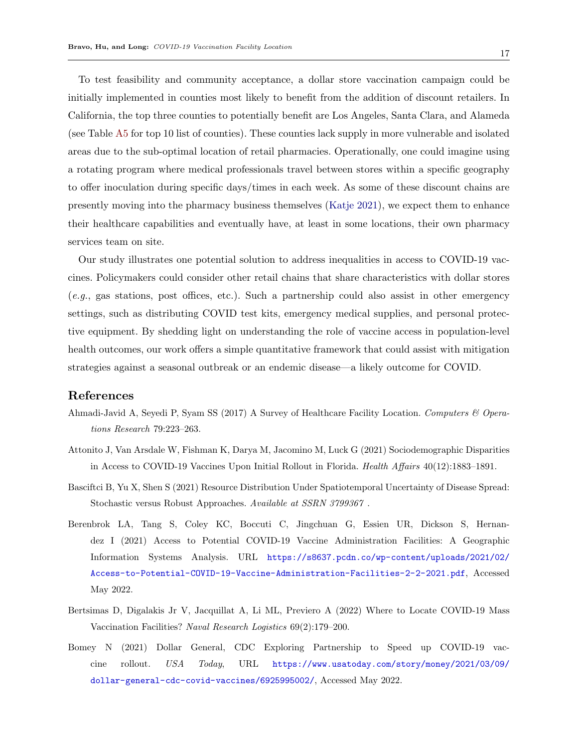To test feasibility and community acceptance, a dollar store vaccination campaign could be initially implemented in counties most likely to benefit from the addition of discount retailers. In California, the top three counties to potentially benefit are Los Angeles, Santa Clara, and Alameda (see Table [A5](#page-23-0) for top 10 list of counties). These counties lack supply in more vulnerable and isolated areas due to the sub-optimal location of retail pharmacies. Operationally, one could imagine using a rotating program where medical professionals travel between stores within a specific geography to offer inoculation during specific days/times in each week. As some of these discount chains are presently moving into the pharmacy business themselves [\(Katje](#page-17-13) [2021\)](#page-17-13), we expect them to enhance their healthcare capabilities and eventually have, at least in some locations, their own pharmacy services team on site.

Our study illustrates one potential solution to address inequalities in access to COVID-19 vaccines. Policymakers could consider other retail chains that share characteristics with dollar stores  $(e.g., gas stations, post offices, etc.).$  Such a partnership could also assist in other emergency settings, such as distributing COVID test kits, emergency medical supplies, and personal protective equipment. By shedding light on understanding the role of vaccine access in population-level health outcomes, our work offers a simple quantitative framework that could assist with mitigation strategies against a seasonal outbreak or an endemic disease—a likely outcome for COVID.

## <span id="page-16-4"></span>References

- Ahmadi-Javid A, Seyedi P, Syam SS (2017) A Survey of Healthcare Facility Location. Computers & Operations Research 79:223–263.
- <span id="page-16-2"></span>Attonito J, Van Arsdale W, Fishman K, Darya M, Jacomino M, Luck G (2021) Sociodemographic Disparities in Access to COVID-19 Vaccines Upon Initial Rollout in Florida. Health Affairs 40(12):1883–1891.
- <span id="page-16-5"></span>Basciftci B, Yu X, Shen S (2021) Resource Distribution Under Spatiotemporal Uncertainty of Disease Spread: Stochastic versus Robust Approaches. Available at SSRN 3799367 .
- <span id="page-16-1"></span>Berenbrok LA, Tang S, Coley KC, Boccuti C, Jingchuan G, Essien UR, Dickson S, Hernandez I (2021) Access to Potential COVID-19 Vaccine Administration Facilities: A Geographic Information Systems Analysis. URL [https://s8637.pcdn.co/wp-content/uploads/2021/02/](https://s8637.pcdn.co/wp-content/uploads/2021/02/Access-to-Potential-COVID-19-Vaccine-Administration-Facilities-2-2-2021.pdf) [Access-to-Potential-COVID-19-Vaccine-Administration-Facilities-2-2-2021.pdf](https://s8637.pcdn.co/wp-content/uploads/2021/02/Access-to-Potential-COVID-19-Vaccine-Administration-Facilities-2-2-2021.pdf), Accessed May 2022.
- <span id="page-16-0"></span>Bertsimas D, Digalakis Jr V, Jacquillat A, Li ML, Previero A (2022) Where to Locate COVID-19 Mass Vaccination Facilities? Naval Research Logistics 69(2):179–200.
- <span id="page-16-3"></span>Bomey N (2021) Dollar General, CDC Exploring Partnership to Speed up COVID-19 vaccine rollout. USA Today, URL [https://www.usatoday.com/story/money/2021/03/09/](https://www.usatoday.com/story/money/2021/03/09/dollar-general-cdc-covid-vaccines/6925995002/) [dollar-general-cdc-covid-vaccines/6925995002/](https://www.usatoday.com/story/money/2021/03/09/dollar-general-cdc-covid-vaccines/6925995002/), Accessed May 2022.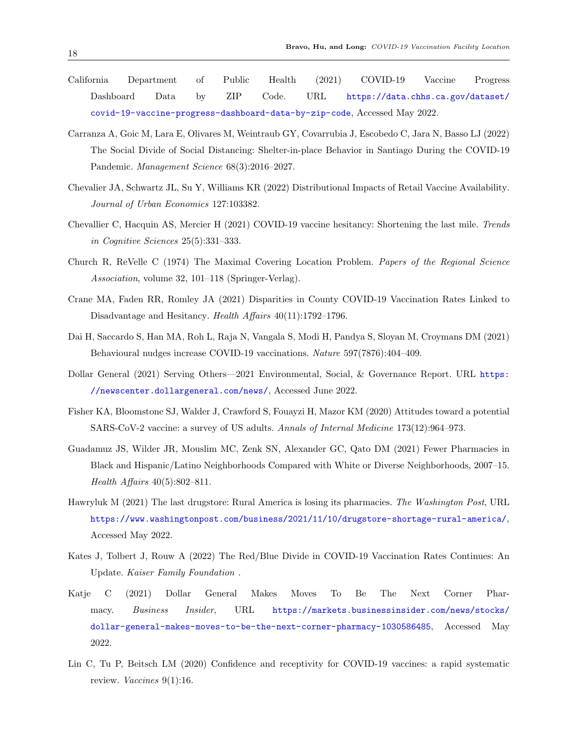- <span id="page-17-11"></span>California Department of Public Health (2021) COVID-19 Vaccine Progress Dashboard Data by ZIP Code. URL [https://data.chhs.ca.gov/dataset/](https://data.chhs.ca.gov/dataset/covid-19-vaccine-progress-dashboard-data-by-zip-code) [covid-19-vaccine-progress-dashboard-data-by-zip-code](https://data.chhs.ca.gov/dataset/covid-19-vaccine-progress-dashboard-data-by-zip-code), Accessed May 2022.
- <span id="page-17-10"></span>Carranza A, Goic M, Lara E, Olivares M, Weintraub GY, Covarrubia J, Escobedo C, Jara N, Basso LJ (2022) The Social Divide of Social Distancing: Shelter-in-place Behavior in Santiago During the COVID-19 Pandemic. Management Science 68(3):2016–2027.
- <span id="page-17-8"></span>Chevalier JA, Schwartz JL, Su Y, Williams KR (2022) Distributional Impacts of Retail Vaccine Availability. Journal of Urban Economics 127:103382.
- <span id="page-17-4"></span>Chevallier C, Hacquin AS, Mercier H (2021) COVID-19 vaccine hesitancy: Shortening the last mile. Trends in Cognitive Sciences 25(5):331–333.
- <span id="page-17-12"></span>Church R, ReVelle C (1974) The Maximal Covering Location Problem. Papers of the Regional Science Association, volume 32, 101–118 (Springer-Verlag).
- <span id="page-17-3"></span>Crane MA, Faden RR, Romley JA (2021) Disparities in County COVID-19 Vaccination Rates Linked to Disadvantage and Hesitancy. Health Affairs 40(11):1792–1796.
- <span id="page-17-5"></span>Dai H, Saccardo S, Han MA, Roh L, Raja N, Vangala S, Modi H, Pandya S, Sloyan M, Croymans DM (2021) Behavioural nudges increase COVID-19 vaccinations. Nature 597(7876):404–409.
- <span id="page-17-9"></span>Dollar General (2021) Serving Others—2021 Environmental, Social, & Governance Report. URL [https:](https://newscenter.dollargeneral.com/news/) [//newscenter.dollargeneral.com/news/](https://newscenter.dollargeneral.com/news/), Accessed June 2022.
- <span id="page-17-2"></span>Fisher KA, Bloomstone SJ, Walder J, Crawford S, Fouayzi H, Mazor KM (2020) Attitudes toward a potential SARS-CoV-2 vaccine: a survey of US adults. Annals of Internal Medicine 173(12):964–973.
- <span id="page-17-7"></span>Guadamuz JS, Wilder JR, Mouslim MC, Zenk SN, Alexander GC, Qato DM (2021) Fewer Pharmacies in Black and Hispanic/Latino Neighborhoods Compared with White or Diverse Neighborhoods, 2007–15. Health Affairs 40(5):802–811.
- <span id="page-17-6"></span>Hawryluk M (2021) The last drugstore: Rural America is losing its pharmacies. The Washington Post, URL <https://www.washingtonpost.com/business/2021/11/10/drugstore-shortage-rural-america/>, Accessed May 2022.
- <span id="page-17-1"></span>Kates J, Tolbert J, Rouw A (2022) The Red/Blue Divide in COVID-19 Vaccination Rates Continues: An Update. Kaiser Family Foundation .
- <span id="page-17-13"></span>Katje C (2021) Dollar General Makes Moves To Be The Next Corner Pharmacy. Business Insider, URL [https://markets.businessinsider.com/news/stocks/](https://markets.businessinsider.com/news/stocks/dollar-general-makes-moves-to-be-the-next-corner-pharmacy-1030586485) [dollar-general-makes-moves-to-be-the-next-corner-pharmacy-1030586485](https://markets.businessinsider.com/news/stocks/dollar-general-makes-moves-to-be-the-next-corner-pharmacy-1030586485), Accessed May 2022.
- <span id="page-17-0"></span>Lin C, Tu P, Beitsch LM (2020) Confidence and receptivity for COVID-19 vaccines: a rapid systematic review. Vaccines 9(1):16.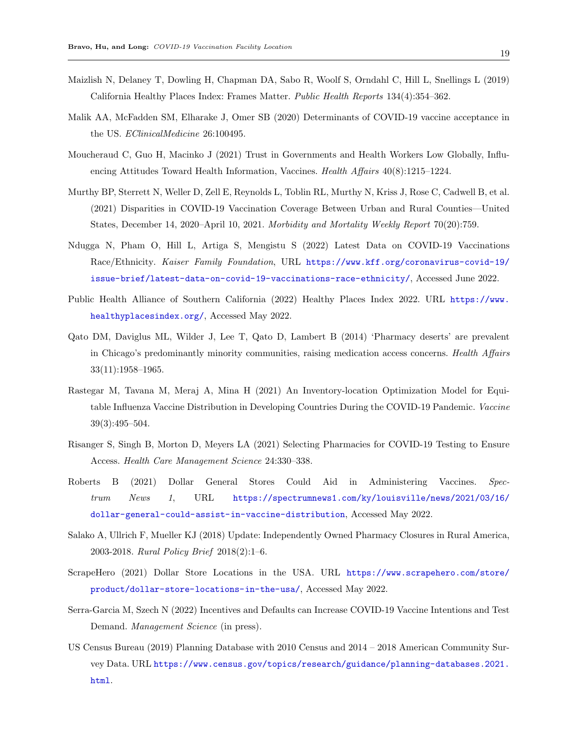- <span id="page-18-12"></span>Maizlish N, Delaney T, Dowling H, Chapman DA, Sabo R, Woolf S, Orndahl C, Hill L, Snellings L (2019) California Healthy Places Index: Frames Matter. Public Health Reports 134(4):354–362.
- <span id="page-18-1"></span>Malik AA, McFadden SM, Elharake J, Omer SB (2020) Determinants of COVID-19 vaccine acceptance in the US. EClinicalMedicine 26:100495.
- <span id="page-18-3"></span>Moucheraud C, Guo H, Macinko J (2021) Trust in Governments and Health Workers Low Globally, Influencing Attitudes Toward Health Information, Vaccines. Health Affairs 40(8):1215–1224.
- <span id="page-18-2"></span>Murthy BP, Sterrett N, Weller D, Zell E, Reynolds L, Toblin RL, Murthy N, Kriss J, Rose C, Cadwell B, et al. (2021) Disparities in COVID-19 Vaccination Coverage Between Urban and Rural Counties—United States, December 14, 2020–April 10, 2021. Morbidity and Mortality Weekly Report 70(20):759.
- <span id="page-18-0"></span>Ndugga N, Pham O, Hill L, Artiga S, Mengistu S (2022) Latest Data on COVID-19 Vaccinations Race/Ethnicity. Kaiser Family Foundation, URL [https://www.kff.org/coronavirus-covid-19/](https://www.kff.org/coronavirus-covid-19/issue-brief/latest-data-on-covid-19-vaccinations-race-ethnicity/) [issue-brief/latest-data-on-covid-19-vaccinations-race-ethnicity/](https://www.kff.org/coronavirus-covid-19/issue-brief/latest-data-on-covid-19-vaccinations-race-ethnicity/), Accessed June 2022.
- <span id="page-18-6"></span>Public Health Alliance of Southern California (2022) Healthy Places Index 2022. URL [https://www.](https://www.healthyplacesindex.org/) [healthyplacesindex.org/](https://www.healthyplacesindex.org/), Accessed May 2022.
- <span id="page-18-5"></span>Qato DM, Daviglus ML, Wilder J, Lee T, Qato D, Lambert B (2014) 'Pharmacy deserts' are prevalent in Chicago's predominantly minority communities, raising medication access concerns. Health Affairs 33(11):1958–1965.
- <span id="page-18-8"></span>Rastegar M, Tavana M, Meraj A, Mina H (2021) An Inventory-location Optimization Model for Equitable Influenza Vaccine Distribution in Developing Countries During the COVID-19 Pandemic. Vaccine 39(3):495–504.
- <span id="page-18-9"></span>Risanger S, Singh B, Morton D, Meyers LA (2021) Selecting Pharmacies for COVID-19 Testing to Ensure Access. Health Care Management Science 24:330–338.
- <span id="page-18-7"></span>Roberts B (2021) Dollar General Stores Could Aid in Administering Vaccines. Spectrum News 1, URL [https://spectrumnews1.com/ky/louisville/news/2021/03/16/](https://spectrumnews1.com/ky/louisville/news/2021/03/16/dollar-general-could-assist-in-vaccine-distribution) [dollar-general-could-assist-in-vaccine-distribution](https://spectrumnews1.com/ky/louisville/news/2021/03/16/dollar-general-could-assist-in-vaccine-distribution), Accessed May 2022.
- <span id="page-18-4"></span>Salako A, Ullrich F, Mueller KJ (2018) Update: Independently Owned Pharmacy Closures in Rural America, 2003-2018. Rural Policy Brief 2018(2):1–6.
- <span id="page-18-11"></span>ScrapeHero (2021) Dollar Store Locations in the USA. URL [https://www.scrapehero.com/store/](https://www.scrapehero.com/store/product/dollar-store-locations-in-the-usa/) [product/dollar-store-locations-in-the-usa/](https://www.scrapehero.com/store/product/dollar-store-locations-in-the-usa/), Accessed May 2022.
- <span id="page-18-10"></span>Serra-Garcia M, Szech N (2022) Incentives and Defaults can Increase COVID-19 Vaccine Intentions and Test Demand. Management Science (in press).
- <span id="page-18-13"></span>US Census Bureau (2019) Planning Database with 2010 Census and 2014 – 2018 American Community Survey Data. URL [https://www.census.gov/topics/research/guidance/planning-databases.2021.](https://www.census.gov/topics/research/guidance/planning-databases.2021.html) [html](https://www.census.gov/topics/research/guidance/planning-databases.2021.html).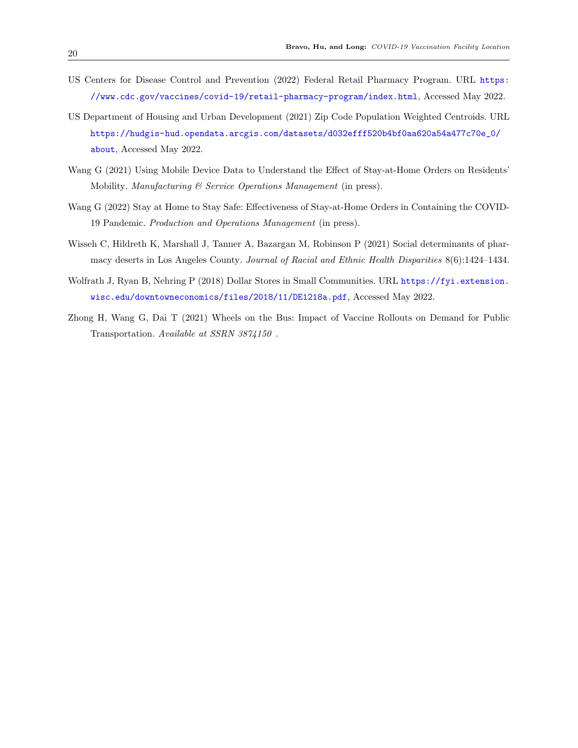- <span id="page-19-0"></span>US Centers for Disease Control and Prevention (2022) Federal Retail Pharmacy Program. URL [https:](https://www.cdc.gov/vaccines/covid-19/retail-pharmacy-program/index.html) [//www.cdc.gov/vaccines/covid-19/retail-pharmacy-program/index.html](https://www.cdc.gov/vaccines/covid-19/retail-pharmacy-program/index.html), Accessed May 2022.
- <span id="page-19-5"></span>US Department of Housing and Urban Development (2021) Zip Code Population Weighted Centroids. URL [https://hudgis-hud.opendata.arcgis.com/datasets/d032efff520b4bf0aa620a54a477c70e\\_0/](https://hudgis-hud.opendata.arcgis.com/datasets/d032efff520b4bf0aa620a54a477c70e_0/about) [about](https://hudgis-hud.opendata.arcgis.com/datasets/d032efff520b4bf0aa620a54a477c70e_0/about), Accessed May 2022.
- <span id="page-19-4"></span>Wang G (2021) Using Mobile Device Data to Understand the Effect of Stay-at-Home Orders on Residents' Mobility. Manufacturing & Service Operations Management (in press).
- <span id="page-19-3"></span>Wang G (2022) Stay at Home to Stay Safe: Effectiveness of Stay-at-Home Orders in Containing the COVID-19 Pandemic. Production and Operations Management (in press).
- <span id="page-19-6"></span>Wisseh C, Hildreth K, Marshall J, Tanner A, Bazargan M, Robinson P (2021) Social determinants of pharmacy deserts in Los Angeles County. Journal of Racial and Ethnic Health Disparities 8(6):1424–1434.
- <span id="page-19-1"></span>Wolfrath J, Ryan B, Nehring P (2018) Dollar Stores in Small Communities. URL [https://fyi.extension.](https://fyi.extension.wisc.edu/downtowneconomics/files/2018/11/DE1218a.pdf) [wisc.edu/downtowneconomics/files/2018/11/DE1218a.pdf](https://fyi.extension.wisc.edu/downtowneconomics/files/2018/11/DE1218a.pdf), Accessed May 2022.
- <span id="page-19-2"></span>Zhong H, Wang G, Dai T (2021) Wheels on the Bus: Impact of Vaccine Rollouts on Demand for Public Transportation. Available at SSRN 3874150 .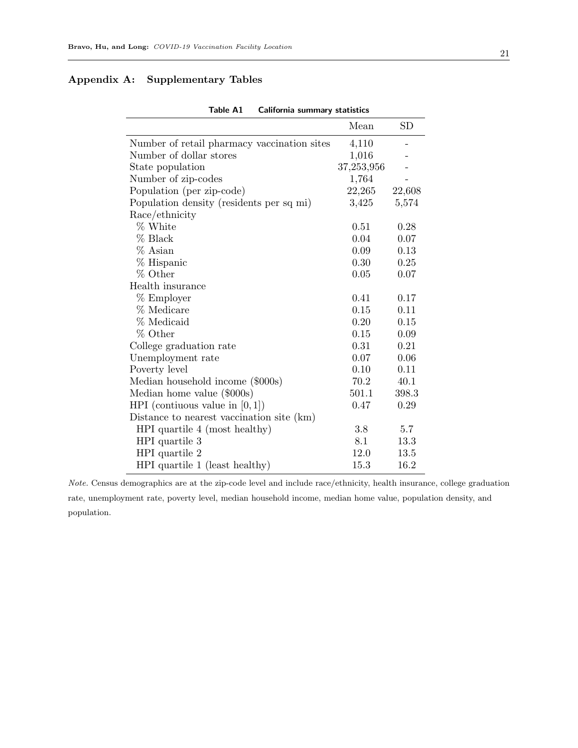## Appendix A: Supplementary Tables

|                                             | Mean       | SD     |
|---------------------------------------------|------------|--------|
|                                             |            |        |
| Number of retail pharmacy vaccination sites | 4,110      |        |
| Number of dollar stores                     | 1,016      |        |
| State population                            | 37,253,956 |        |
| Number of zip-codes                         | 1,764      |        |
| Population (per zip-code)                   | 22,265     | 22,608 |
| Population density (residents per sq mi)    | 3,425      | 5,574  |
| Race/ethnicity                              |            |        |
| % White                                     | 0.51       | 0.28   |
| % Black                                     | 0.04       | 0.07   |
| % Asian                                     | 0.09       | 0.13   |
| % Hispanic                                  | 0.30       | 0.25   |
| % Other                                     | 0.05       | 0.07   |
| Health insurance                            |            |        |
| % Employer                                  | 0.41       | 0.17   |
| % Medicare                                  | 0.15       | 0.11   |
| % Medicaid                                  | 0.20       | 0.15   |
| % Other                                     | 0.15       | 0.09   |
| College graduation rate                     | 0.31       | 0.21   |
| Unemployment rate                           | 0.07       | 0.06   |
| Poverty level                               | 0.10       | 0.11   |
| Median household income (\$000s)            | 70.2       | 40.1   |
| Median home value (\$000s)                  | 501.1      | 398.3  |
| HPI (contiuous value in $[0,1]$ )           | 0.47       | 0.29   |
| Distance to nearest vaccination site (km)   |            |        |
| HPI quartile 4 (most healthy)               | 3.8        | 5.7    |
| HPI quartile 3                              | 8.1        | 13.3   |
| HPI quartile 2                              | 12.0       | 13.5   |
| HPI quartile 1 (least healthy)              | 15.3       | 16.2   |

Table A1 California summary statistics

Note. Census demographics are at the zip-code level and include race/ethnicity, health insurance, college graduation rate, unemployment rate, poverty level, median household income, median home value, population density, and population.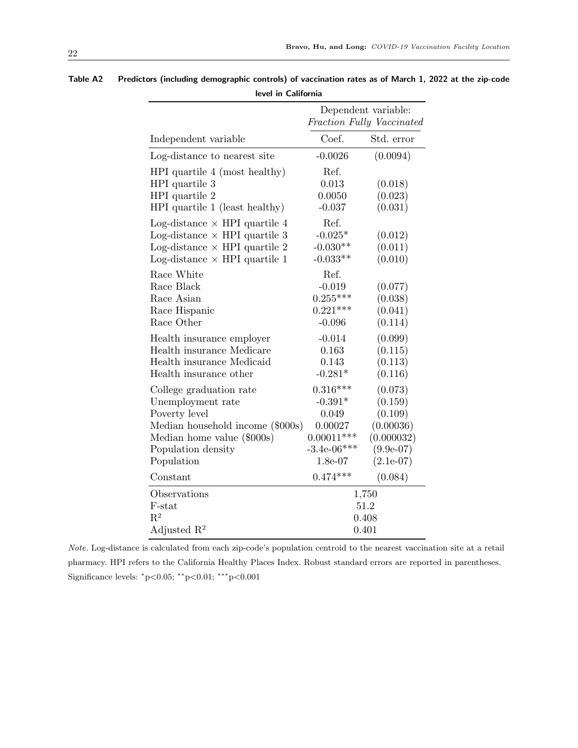|                                      | Dependent variable:<br>Fraction Fully Vaccinated |             |  |  |  |  |
|--------------------------------------|--------------------------------------------------|-------------|--|--|--|--|
|                                      |                                                  |             |  |  |  |  |
| Independent variable                 | Coef.                                            | Std. error  |  |  |  |  |
| Log-distance to nearest site         | $-0.0026$                                        | (0.0094)    |  |  |  |  |
| HPI quartile 4 (most healthy)        | Ref.                                             |             |  |  |  |  |
| HPI quartile 3                       | 0.013                                            | (0.018)     |  |  |  |  |
| HPI quartile 2                       | 0.0050                                           | (0.023)     |  |  |  |  |
| HPI quartile 1 (least healthy)       | $-0.037$                                         | (0.031)     |  |  |  |  |
| Log-distance $\times$ HPI quartile 4 | Ref.                                             |             |  |  |  |  |
| Log-distance $\times$ HPI quartile 3 | $-0.025*$                                        | (0.012)     |  |  |  |  |
| Log-distance $\times$ HPI quartile 2 | $-0.030**$                                       | (0.011)     |  |  |  |  |
| Log-distance $\times$ HPI quartile 1 | $-0.033**$                                       | (0.010)     |  |  |  |  |
| Race White                           | Ref.                                             |             |  |  |  |  |
| Race Black                           | $-0.019$                                         | (0.077)     |  |  |  |  |
| Race Asian                           | $0.255***$                                       | (0.038)     |  |  |  |  |
| Race Hispanic                        | $0.221***$                                       | (0.041)     |  |  |  |  |
| Race Other                           | $-0.096$                                         | (0.114)     |  |  |  |  |
| Health insurance employer            | $-0.014$                                         | (0.099)     |  |  |  |  |
| Health insurance Medicare            | 0.163                                            | (0.115)     |  |  |  |  |
| Health insurance Medicaid            | 0.143                                            | (0.113)     |  |  |  |  |
| Health insurance other               | $-0.281*$                                        | (0.116)     |  |  |  |  |
| College graduation rate              | $0.316***$                                       | (0.073)     |  |  |  |  |
| Unemployment rate                    | $-0.391*$                                        | (0.159)     |  |  |  |  |
| Poverty level                        | 0.049                                            | (0.109)     |  |  |  |  |
| Median household income (\$000s)     | 0.00027                                          | (0.00036)   |  |  |  |  |
| Median home value (\$000s)           | $0.00011***$                                     | (0.000032)  |  |  |  |  |
| Population density                   | $-3.4e-06***$                                    | $(9.9e-07)$ |  |  |  |  |
| Population                           | 1.8e-07                                          | $(2.1e-07)$ |  |  |  |  |
| Constant                             | $0.474***$                                       | (0.084)     |  |  |  |  |
| Observations                         |                                                  | 1,750       |  |  |  |  |
| F-stat                               |                                                  | 51.2        |  |  |  |  |
| $\mathbf{R}^2$                       |                                                  | 0.408       |  |  |  |  |
| Adjusted $\mathbb{R}^2$              |                                                  | 0.401       |  |  |  |  |

Table A2 Predictors (including demographic controls) of vaccination rates as of March 1, 2022 at the zip-code level in California

Note. Log-distance is calculated from each zip-code's population centroid to the nearest vaccination site at a retail pharmacy. HPI refers to the California Healthy Places Index. Robust standard errors are reported in parentheses. Significance levels:  ${}^*p<0.05$ ;  ${}^{**}p<0.01$ ;  ${}^{***}p<0.001$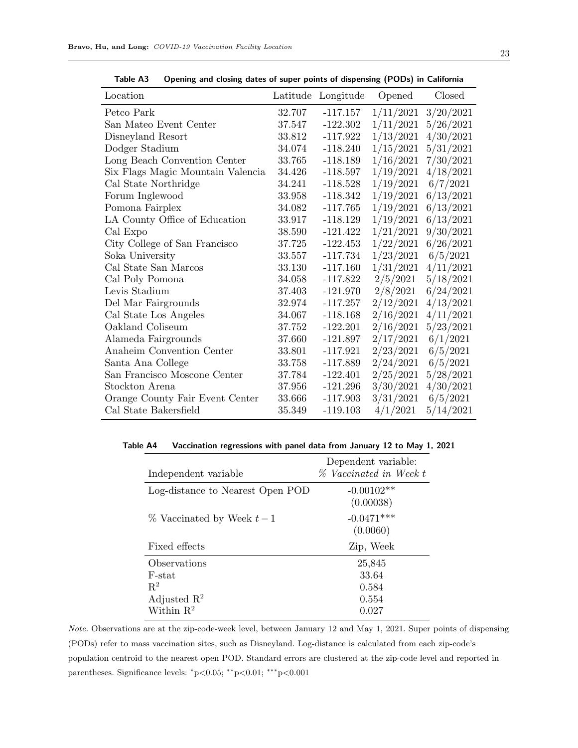| Location                          | Latitude | Longitude  | Opened    | Closed    |
|-----------------------------------|----------|------------|-----------|-----------|
| Petco Park                        | 32.707   | $-117.157$ | 1/11/2021 | 3/20/2021 |
| San Mateo Event Center            | 37.547   | $-122.302$ | 1/11/2021 | 5/26/2021 |
| Disneyland Resort                 | 33.812   | $-117.922$ | 1/13/2021 | 4/30/2021 |
| Dodger Stadium                    | 34.074   | $-118.240$ | 1/15/2021 | 5/31/2021 |
| Long Beach Convention Center      | 33.765   | $-118.189$ | 1/16/2021 | 7/30/2021 |
| Six Flags Magic Mountain Valencia | 34.426   | $-118.597$ | 1/19/2021 | 4/18/2021 |
| Cal State Northridge              | 34.241   | $-118.528$ | 1/19/2021 | 6/7/2021  |
| Forum Inglewood                   | 33.958   | $-118.342$ | 1/19/2021 | 6/13/2021 |
| Pomona Fairplex                   | 34.082   | $-117.765$ | 1/19/2021 | 6/13/2021 |
| LA County Office of Education     | 33.917   | $-118.129$ | 1/19/2021 | 6/13/2021 |
| Cal Expo                          | 38.590   | $-121.422$ | 1/21/2021 | 9/30/2021 |
| City College of San Francisco     | 37.725   | $-122.453$ | 1/22/2021 | 6/26/2021 |
| Soka University                   | 33.557   | $-117.734$ | 1/23/2021 | 6/5/2021  |
| Cal State San Marcos              | 33.130   | $-117.160$ | 1/31/2021 | 4/11/2021 |
| Cal Poly Pomona                   | 34.058   | $-117.822$ | 2/5/2021  | 5/18/2021 |
| Levis Stadium                     | 37.403   | $-121.970$ | 2/8/2021  | 6/24/2021 |
| Del Mar Fairgrounds               | 32.974   | $-117.257$ | 2/12/2021 | 4/13/2021 |
| Cal State Los Angeles             | 34.067   | $-118.168$ | 2/16/2021 | 4/11/2021 |
| Oakland Coliseum                  | 37.752   | $-122.201$ | 2/16/2021 | 5/23/2021 |
| Alameda Fairgrounds               | 37.660   | $-121.897$ | 2/17/2021 | 6/1/2021  |
| Anaheim Convention Center         | 33.801   | $-117.921$ | 2/23/2021 | 6/5/2021  |
| Santa Ana College                 | 33.758   | $-117.889$ | 2/24/2021 | 6/5/2021  |
| San Francisco Moscone Center      | 37.784   | $-122.401$ | 2/25/2021 | 5/28/2021 |
| Stockton Arena                    | 37.956   | $-121.296$ | 3/30/2021 | 4/30/2021 |
| Orange County Fair Event Center   | 33.666   | $-117.903$ | 3/31/2021 | 6/5/2021  |
| Cal State Bakersfield             | 35.349   | $-119.103$ | 4/1/2021  | 5/14/2021 |

<span id="page-22-0"></span>Table A3 Opening and closing dates of super points of dispensing (PODs) in California

Table A4 Vaccination regressions with panel data from January 12 to May 1, 2021

<span id="page-22-1"></span>

| Independent variable             | Dependent variable:<br>% Vaccinated in Week t |
|----------------------------------|-----------------------------------------------|
| Log-distance to Nearest Open POD | $-0.00102**$                                  |
|                                  | (0.00038)                                     |
| $\%$ Vaccinated by Week $t-1$    | $-0.0471***$                                  |
|                                  | (0.0060)                                      |
| Fixed effects                    | Zip, Week                                     |
| Observations                     | 25,845                                        |
| F-stat                           | 33.64                                         |
| $R^2$                            | 0.584                                         |
| Adjusted $\mathbb{R}^2$          | 0.554                                         |
| Within $R^2$                     | 0.027                                         |

Note. Observations are at the zip-code-week level, between January 12 and May 1, 2021. Super points of dispensing (PODs) refer to mass vaccination sites, such as Disneyland. Log-distance is calculated from each zip-code's population centroid to the nearest open POD. Standard errors are clustered at the zip-code level and reported in parentheses. Significance levels: \*p<0.05; \*\*p<0.01; \*\*\*p<0.001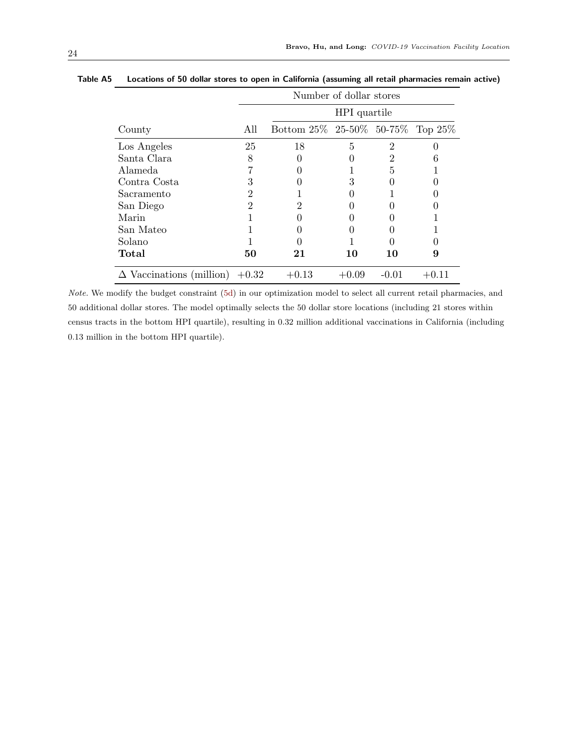<span id="page-23-0"></span>

|                                                                             |     | Number of dollar stores             |    |    |   |  |  |  |
|-----------------------------------------------------------------------------|-----|-------------------------------------|----|----|---|--|--|--|
|                                                                             |     | HPI quartile                        |    |    |   |  |  |  |
| County                                                                      | All | Bottom $25\%$ 25-50% 50-75% Top 25% |    |    |   |  |  |  |
| Los Angeles                                                                 | 25  | 18                                  | 5  | 2  |   |  |  |  |
| Santa Clara                                                                 | 8   |                                     |    | 2  |   |  |  |  |
| Alameda                                                                     |     |                                     |    | 5  |   |  |  |  |
| Contra Costa                                                                | 3   |                                     | 3  |    |   |  |  |  |
| Sacramento                                                                  | 2   |                                     |    |    |   |  |  |  |
| San Diego                                                                   | 2   | 2                                   |    |    |   |  |  |  |
| Marin                                                                       |     |                                     |    |    |   |  |  |  |
| San Mateo                                                                   |     |                                     |    |    |   |  |  |  |
| Solano                                                                      |     |                                     |    |    |   |  |  |  |
| Total                                                                       | 50  | 21                                  | 10 | 10 | 9 |  |  |  |
| $\Delta$ Vaccinations (million)<br>$+0.32$<br>$+0.13$<br>$+0.09$<br>$-0.01$ |     |                                     |    |    |   |  |  |  |

Table A5 Locations of 50 dollar stores to open in California (assuming all retail pharmacies remain active)

Note. We modify the budget constraint [\(5d\)](#page-10-5) in our optimization model to select all current retail pharmacies, and 50 additional dollar stores. The model optimally selects the 50 dollar store locations (including 21 stores within census tracts in the bottom HPI quartile), resulting in 0.32 million additional vaccinations in California (including 0.13 million in the bottom HPI quartile).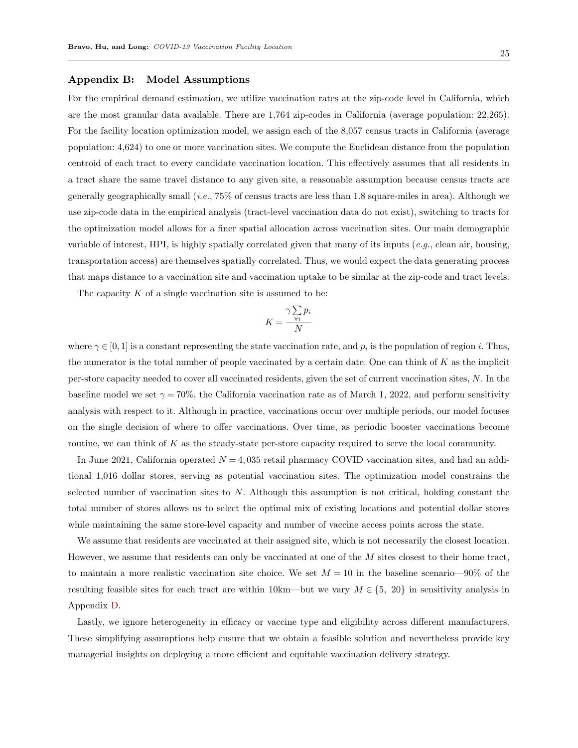#### Appendix B: Model Assumptions

For the empirical demand estimation, we utilize vaccination rates at the zip-code level in California, which are the most granular data available. There are 1,764 zip-codes in California (average population: 22,265). For the facility location optimization model, we assign each of the 8,057 census tracts in California (average population: 4,624) to one or more vaccination sites. We compute the Euclidean distance from the population centroid of each tract to every candidate vaccination location. This effectively assumes that all residents in a tract share the same travel distance to any given site, a reasonable assumption because census tracts are generally geographically small  $(i.e., 75\%$  of census tracts are less than 1.8 square-miles in area). Although we use zip-code data in the empirical analysis (tract-level vaccination data do not exist), switching to tracts for the optimization model allows for a finer spatial allocation across vaccination sites. Our main demographic variable of interest, HPI, is highly spatially correlated given that many of its inputs  $(e.g.,$  clean air, housing, transportation access) are themselves spatially correlated. Thus, we would expect the data generating process that maps distance to a vaccination site and vaccination uptake to be similar at the zip-code and tract levels.

The capacity  $K$  of a single vaccination site is assumed to be:

$$
K = \frac{\gamma \sum_{\forall i} p_i}{N}
$$

where  $\gamma \in [0,1]$  is a constant representing the state vaccination rate, and  $p_i$  is the population of region i. Thus, the numerator is the total number of people vaccinated by a certain date. One can think of  $K$  as the implicit per-store capacity needed to cover all vaccinated residents, given the set of current vaccination sites, N. In the baseline model we set  $\gamma = 70\%$ , the California vaccination rate as of March 1, 2022, and perform sensitivity analysis with respect to it. Although in practice, vaccinations occur over multiple periods, our model focuses on the single decision of where to offer vaccinations. Over time, as periodic booster vaccinations become routine, we can think of K as the steady-state per-store capacity required to serve the local community.

In June 2021, California operated  $N = 4,035$  retail pharmacy COVID vaccination sites, and had an additional 1,016 dollar stores, serving as potential vaccination sites. The optimization model constrains the selected number of vaccination sites to  $N$ . Although this assumption is not critical, holding constant the total number of stores allows us to select the optimal mix of existing locations and potential dollar stores while maintaining the same store-level capacity and number of vaccine access points across the state.

We assume that residents are vaccinated at their assigned site, which is not necessarily the closest location. However, we assume that residents can only be vaccinated at one of the M sites closest to their home tract, to maintain a more realistic vaccination site choice. We set  $M = 10$  in the baseline scenario—90% of the resulting feasible sites for each tract are within 10km—but we vary  $M \in \{5, 20\}$  in sensitivity analysis in Appendix [D.](#page-11-1)

Lastly, we ignore heterogeneity in efficacy or vaccine type and eligibility across different manufacturers. These simplifying assumptions help ensure that we obtain a feasible solution and nevertheless provide key managerial insights on deploying a more efficient and equitable vaccination delivery strategy.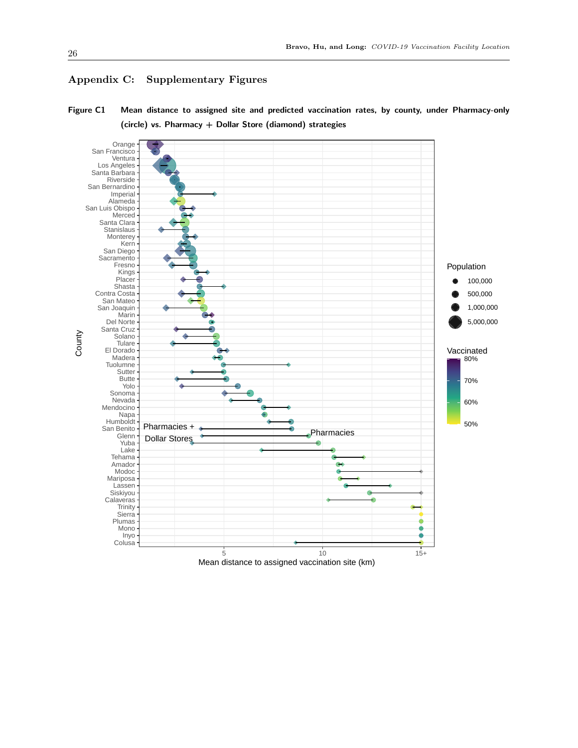## Appendix C: Supplementary Figures

Figure C1 Mean distance to assigned site and predicted vaccination rates, by county, under Pharmacy-only (circle) vs. Pharmacy + Dollar Store (diamond) strategies



Mean distance to assigned vaccination site (km)

County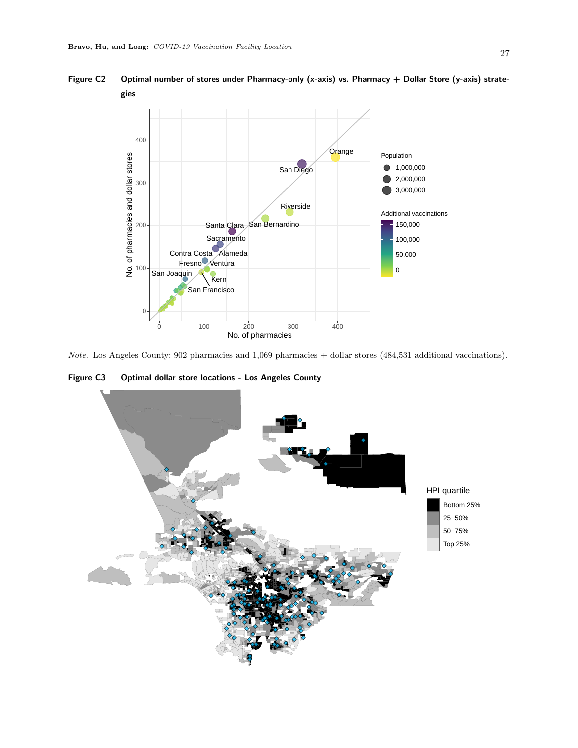Figure C2 Optimal number of stores under Pharmacy-only (x-axis) vs. Pharmacy + Dollar Store (y-axis) strategies



Note. Los Angeles County: 902 pharmacies and 1,069 pharmacies + dollar stores (484,531 additional vaccinations).

Figure C3 Optimal dollar store locations - Los Angeles County

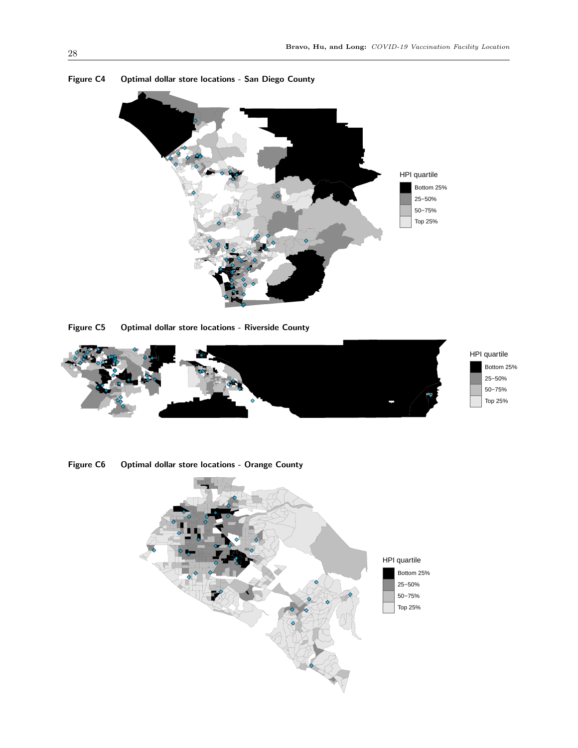

Figure C4 Optimal dollar store locations - San Diego County

Figure C5 Optimal dollar store locations - Riverside County



Figure C6 Optimal dollar store locations - Orange County

<span id="page-27-0"></span>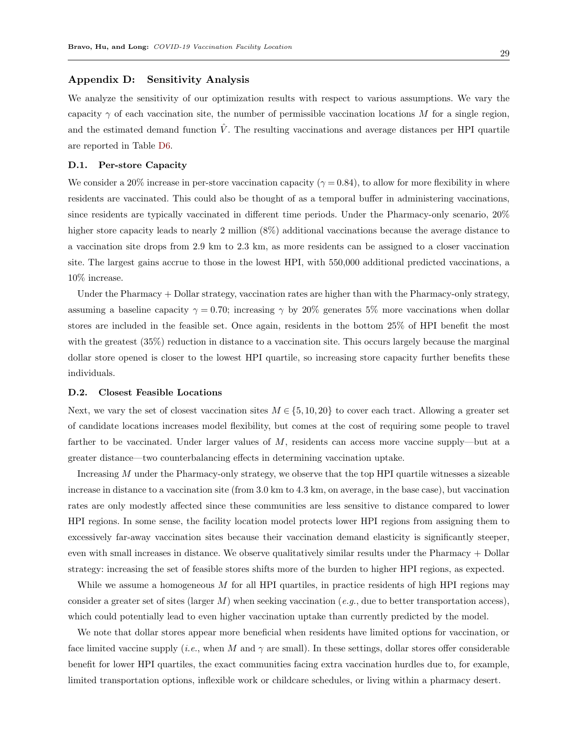#### Appendix D: Sensitivity Analysis

We analyze the sensitivity of our optimization results with respect to various assumptions. We vary the capacity  $\gamma$  of each vaccination site, the number of permissible vaccination locations M for a single region, and the estimated demand function  $\hat{V}$ . The resulting vaccinations and average distances per HPI quartile are reported in Table [D6.](#page-29-0)

#### D.1. Per-store Capacity

We consider a 20% increase in per-store vaccination capacity ( $\gamma = 0.84$ ), to allow for more flexibility in where residents are vaccinated. This could also be thought of as a temporal buffer in administering vaccinations, since residents are typically vaccinated in different time periods. Under the Pharmacy-only scenario, 20% higher store capacity leads to nearly 2 million  $(8\%)$  additional vaccinations because the average distance to a vaccination site drops from 2.9 km to 2.3 km, as more residents can be assigned to a closer vaccination site. The largest gains accrue to those in the lowest HPI, with 550,000 additional predicted vaccinations, a 10% increase.

Under the Pharmacy  $+$  Dollar strategy, vaccination rates are higher than with the Pharmacy-only strategy, assuming a baseline capacity  $\gamma = 0.70$ ; increasing  $\gamma$  by 20% generates 5% more vaccinations when dollar stores are included in the feasible set. Once again, residents in the bottom 25% of HPI benefit the most with the greatest (35%) reduction in distance to a vaccination site. This occurs largely because the marginal dollar store opened is closer to the lowest HPI quartile, so increasing store capacity further benefits these individuals.

#### D.2. Closest Feasible Locations

Next, we vary the set of closest vaccination sites  $M \in \{5, 10, 20\}$  to cover each tract. Allowing a greater set of candidate locations increases model flexibility, but comes at the cost of requiring some people to travel farther to be vaccinated. Under larger values of M, residents can access more vaccine supply—but at a greater distance—two counterbalancing effects in determining vaccination uptake.

Increasing M under the Pharmacy-only strategy, we observe that the top HPI quartile witnesses a sizeable increase in distance to a vaccination site (from 3.0 km to 4.3 km, on average, in the base case), but vaccination rates are only modestly affected since these communities are less sensitive to distance compared to lower HPI regions. In some sense, the facility location model protects lower HPI regions from assigning them to excessively far-away vaccination sites because their vaccination demand elasticity is significantly steeper, even with small increases in distance. We observe qualitatively similar results under the Pharmacy + Dollar strategy: increasing the set of feasible stores shifts more of the burden to higher HPI regions, as expected.

While we assume a homogeneous M for all HPI quartiles, in practice residents of high HPI regions may consider a greater set of sites (larger  $M$ ) when seeking vaccination (e.g., due to better transportation access), which could potentially lead to even higher vaccination uptake than currently predicted by the model.

We note that dollar stores appear more beneficial when residents have limited options for vaccination, or face limited vaccine supply (*i.e.*, when M and  $\gamma$  are small). In these settings, dollar stores offer considerable benefit for lower HPI quartiles, the exact communities facing extra vaccination hurdles due to, for example, limited transportation options, inflexible work or childcare schedules, or living within a pharmacy desert.